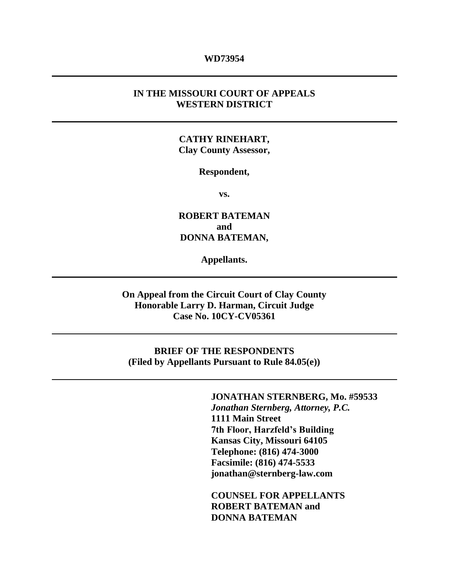#### **WD73954**

#### **IN THE MISSOURI COURT OF APPEALS WESTERN DISTRICT**

#### **CATHY RINEHART, Clay County Assessor,**

#### **Respondent,**

**vs.**

**ROBERT BATEMAN and DONNA BATEMAN,** 

**Appellants.**

**On Appeal from the Circuit Court of Clay County Honorable Larry D. Harman, Circuit Judge Case No. 10CY-CV05361**

**BRIEF OF THE RESPONDENTS (Filed by Appellants Pursuant to Rule 84.05(e))**

#### **JONATHAN STERNBERG, Mo. #59533**

*Jonathan Sternberg, Attorney, P.C.* **1111 Main Street 7th Floor, Harzfeld's Building Kansas City, Missouri 64105 Telephone: (816) 474-3000 Facsimile: (816) 474-5533 jonathan@sternberg-law.com**

**COUNSEL FOR APPELLANTS ROBERT BATEMAN and DONNA BATEMAN**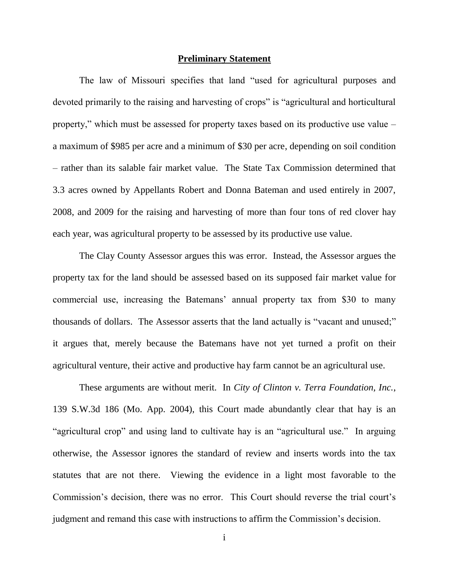#### **Preliminary Statement**

The law of Missouri specifies that land "used for agricultural purposes and devoted primarily to the raising and harvesting of crops" is "agricultural and horticultural property," which must be assessed for property taxes based on its productive use value – a maximum of \$985 per acre and a minimum of \$30 per acre, depending on soil condition – rather than its salable fair market value. The State Tax Commission determined that 3.3 acres owned by Appellants Robert and Donna Bateman and used entirely in 2007, 2008, and 2009 for the raising and harvesting of more than four tons of red clover hay each year, was agricultural property to be assessed by its productive use value.

The Clay County Assessor argues this was error. Instead, the Assessor argues the property tax for the land should be assessed based on its supposed fair market value for commercial use, increasing the Batemans' annual property tax from \$30 to many thousands of dollars. The Assessor asserts that the land actually is "vacant and unused;" it argues that, merely because the Batemans have not yet turned a profit on their agricultural venture, their active and productive hay farm cannot be an agricultural use.

These arguments are without merit. In *City of Clinton v. Terra Foundation, Inc.*, 139 S.W.3d 186 (Mo. App. 2004), this Court made abundantly clear that hay is an "agricultural crop" and using land to cultivate hay is an "agricultural use." In arguing otherwise, the Assessor ignores the standard of review and inserts words into the tax statutes that are not there. Viewing the evidence in a light most favorable to the Commission's decision, there was no error. This Court should reverse the trial court's judgment and remand this case with instructions to affirm the Commission's decision.

i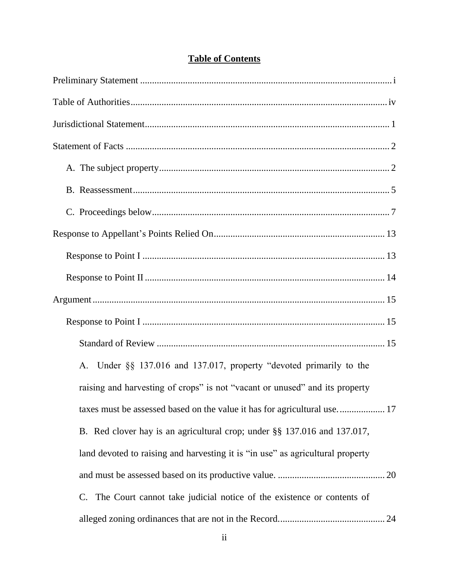| A. Under §§ 137.016 and 137.017, property "devoted primarily to the            |
|--------------------------------------------------------------------------------|
| raising and harvesting of crops" is not "vacant or unused" and its property    |
| taxes must be assessed based on the value it has for agricultural use 17       |
| B. Red clover hay is an agricultural crop; under §§ 137.016 and 137.017,       |
| land devoted to raising and harvesting it is "in use" as agricultural property |
|                                                                                |
| The Court cannot take judicial notice of the existence or contents of<br>C.    |
|                                                                                |

### **Table of Contents**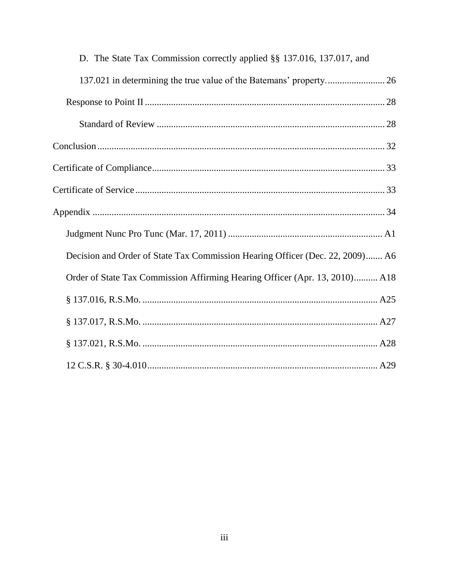| D. The State Tax Commission correctly applied §§ 137.016, 137.017, and        |
|-------------------------------------------------------------------------------|
|                                                                               |
|                                                                               |
|                                                                               |
|                                                                               |
|                                                                               |
|                                                                               |
|                                                                               |
|                                                                               |
| Decision and Order of State Tax Commission Hearing Officer (Dec. 22, 2009) A6 |
| Order of State Tax Commission Affirming Hearing Officer (Apr. 13, 2010) A18   |
|                                                                               |
|                                                                               |
|                                                                               |
|                                                                               |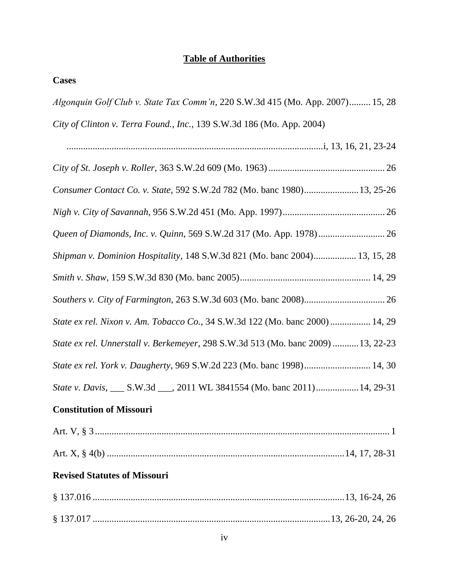#### **Table of Authorities**

#### **Cases**

| <i>Algonquin Golf Club v. State Tax Comm'n,</i> 220 S.W.3d 415 (Mo. App. 2007) 15, 28 |  |  |  |
|---------------------------------------------------------------------------------------|--|--|--|
| City of Clinton v. Terra Found., Inc., 139 S.W.3d 186 (Mo. App. 2004)                 |  |  |  |

............................................................................................................i, 13, 16, 21, 23-24 *City of St. Joseph v. Roller*, 363 S.W.2d 609 (Mo. 1963)................................................. 26 *Consumer Contact Co. v. State*, 592 S.W.2d 782 (Mo. banc 1980).......................13, 25-26 *Nigh v. City of Savannah*, 956 S.W.2d 451 (Mo. App. 1997)........................................... 26 *Queen of Diamonds, Inc. v. Quinn*, 569 S.W.2d 317 (Mo. App. 1978)............................ 26 *Shipman v. Dominion Hospitality*, 148 S.W.3d 821 (Mo. banc 2004).................. 13, 15, 28 *Smith v. Shaw*, 159 S.W.3d 830 (Mo. banc 2005)....................................................... 14, 29 *Southers v. City of Farmington*, 263 S.W.3d 603 (Mo. banc 2008).................................. 26 *State ex rel. Nixon v. Am. Tobacco Co.*, 34 S.W.3d 122 (Mo. banc 2000)................. 14, 29 *State ex rel. Unnerstall v. Berkemeyer*, 298 S.W.3d 513 (Mo. banc 2009) ...........13, 22-23 *State ex rel. York v. Daugherty*, 969 S.W.2d 223 (Mo. banc 1998)............................ 14, 30 *State v. Davis*, \_\_\_ S.W.3d \_\_\_, 2011 WL 3841554 (Mo. banc 2011)..................14, 29-31

#### **Constitution of Missouri**

#### **Revised Statutes of Missouri**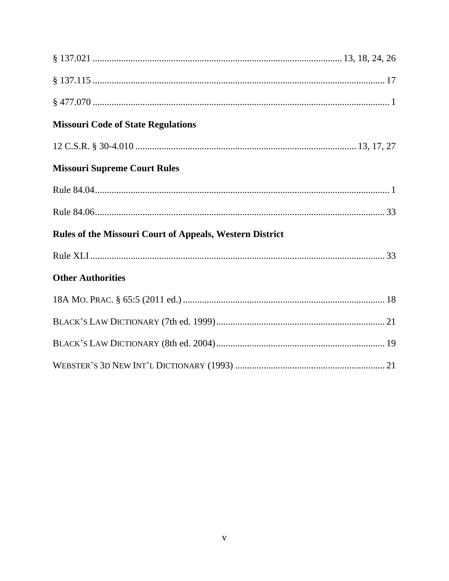| <b>Missouri Code of State Regulations</b>                       |  |
|-----------------------------------------------------------------|--|
|                                                                 |  |
| <b>Missouri Supreme Court Rules</b>                             |  |
|                                                                 |  |
|                                                                 |  |
| <b>Rules of the Missouri Court of Appeals, Western District</b> |  |
|                                                                 |  |
| <b>Other Authorities</b>                                        |  |
|                                                                 |  |
|                                                                 |  |
|                                                                 |  |
|                                                                 |  |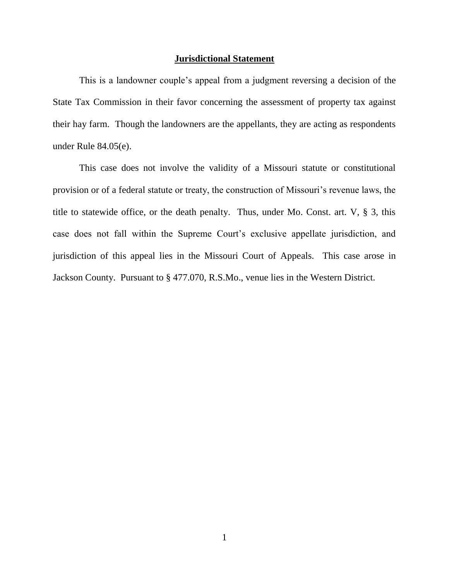#### **Jurisdictional Statement**

This is a landowner couple's appeal from a judgment reversing a decision of the State Tax Commission in their favor concerning the assessment of property tax against their hay farm. Though the landowners are the appellants, they are acting as respondents under Rule 84.05(e).

This case does not involve the validity of a Missouri statute or constitutional provision or of a federal statute or treaty, the construction of Missouri's revenue laws, the title to statewide office, or the death penalty. Thus, under Mo. Const. art. V, § 3, this case does not fall within the Supreme Court's exclusive appellate jurisdiction, and jurisdiction of this appeal lies in the Missouri Court of Appeals. This case arose in Jackson County. Pursuant to § 477.070, R.S.Mo., venue lies in the Western District.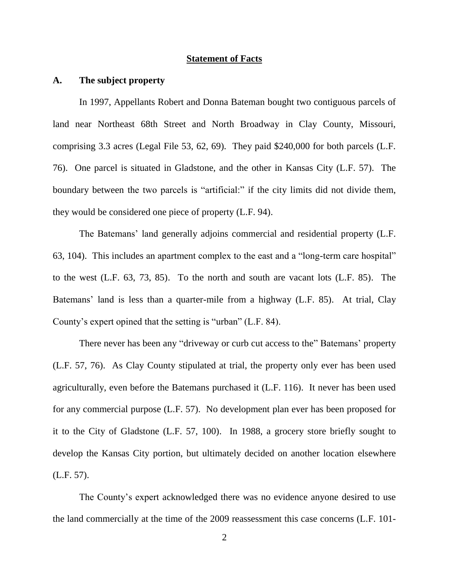#### **Statement of Facts**

#### **A. The subject property**

In 1997, Appellants Robert and Donna Bateman bought two contiguous parcels of land near Northeast 68th Street and North Broadway in Clay County, Missouri, comprising 3.3 acres (Legal File 53, 62, 69). They paid \$240,000 for both parcels (L.F. 76). One parcel is situated in Gladstone, and the other in Kansas City (L.F. 57). The boundary between the two parcels is "artificial:" if the city limits did not divide them, they would be considered one piece of property (L.F. 94).

The Batemans' land generally adjoins commercial and residential property (L.F. 63, 104). This includes an apartment complex to the east and a "long-term care hospital" to the west (L.F. 63, 73, 85). To the north and south are vacant lots (L.F. 85). The Batemans' land is less than a quarter-mile from a highway (L.F. 85). At trial, Clay County's expert opined that the setting is "urban" (L.F. 84).

There never has been any "driveway or curb cut access to the" Batemans' property (L.F. 57, 76). As Clay County stipulated at trial, the property only ever has been used agriculturally, even before the Batemans purchased it (L.F. 116). It never has been used for any commercial purpose (L.F. 57). No development plan ever has been proposed for it to the City of Gladstone (L.F. 57, 100). In 1988, a grocery store briefly sought to develop the Kansas City portion, but ultimately decided on another location elsewhere (L.F. 57).

The County's expert acknowledged there was no evidence anyone desired to use the land commercially at the time of the 2009 reassessment this case concerns (L.F. 101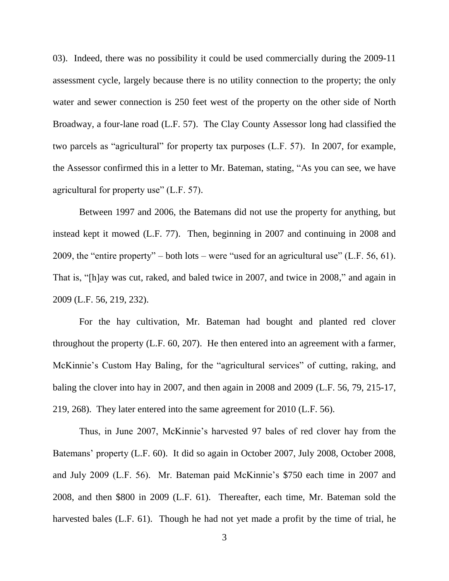03). Indeed, there was no possibility it could be used commercially during the 2009-11 assessment cycle, largely because there is no utility connection to the property; the only water and sewer connection is 250 feet west of the property on the other side of North Broadway, a four-lane road (L.F. 57). The Clay County Assessor long had classified the two parcels as "agricultural" for property tax purposes (L.F. 57). In 2007, for example, the Assessor confirmed this in a letter to Mr. Bateman, stating, "As you can see, we have agricultural for property use" (L.F. 57).

Between 1997 and 2006, the Batemans did not use the property for anything, but instead kept it mowed (L.F. 77). Then, beginning in 2007 and continuing in 2008 and 2009, the "entire property" – both lots – were "used for an agricultural use" (L.F. 56, 61). That is, "[h]ay was cut, raked, and baled twice in 2007, and twice in 2008," and again in 2009 (L.F. 56, 219, 232).

For the hay cultivation, Mr. Bateman had bought and planted red clover throughout the property (L.F. 60, 207). He then entered into an agreement with a farmer, McKinnie's Custom Hay Baling, for the "agricultural services" of cutting, raking, and baling the clover into hay in 2007, and then again in 2008 and 2009 (L.F. 56, 79, 215-17, 219, 268). They later entered into the same agreement for 2010 (L.F. 56).

Thus, in June 2007, McKinnie's harvested 97 bales of red clover hay from the Batemans' property (L.F. 60). It did so again in October 2007, July 2008, October 2008, and July 2009 (L.F. 56). Mr. Bateman paid McKinnie's \$750 each time in 2007 and 2008, and then \$800 in 2009 (L.F. 61). Thereafter, each time, Mr. Bateman sold the harvested bales (L.F. 61). Though he had not yet made a profit by the time of trial, he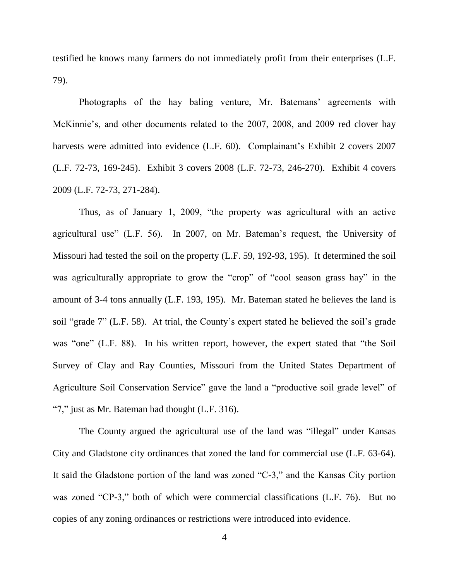testified he knows many farmers do not immediately profit from their enterprises (L.F. 79).

Photographs of the hay baling venture, Mr. Batemans' agreements with McKinnie's, and other documents related to the 2007, 2008, and 2009 red clover hay harvests were admitted into evidence (L.F. 60). Complainant's Exhibit 2 covers 2007 (L.F. 72-73, 169-245). Exhibit 3 covers 2008 (L.F. 72-73, 246-270). Exhibit 4 covers 2009 (L.F. 72-73, 271-284).

Thus, as of January 1, 2009, "the property was agricultural with an active agricultural use" (L.F. 56). In 2007, on Mr. Bateman's request, the University of Missouri had tested the soil on the property (L.F. 59, 192-93, 195). It determined the soil was agriculturally appropriate to grow the "crop" of "cool season grass hay" in the amount of 3-4 tons annually (L.F. 193, 195). Mr. Bateman stated he believes the land is soil "grade 7" (L.F. 58). At trial, the County's expert stated he believed the soil's grade was "one" (L.F. 88). In his written report, however, the expert stated that "the Soil Survey of Clay and Ray Counties, Missouri from the United States Department of Agriculture Soil Conservation Service" gave the land a "productive soil grade level" of "7," just as Mr. Bateman had thought (L.F. 316).

The County argued the agricultural use of the land was "illegal" under Kansas City and Gladstone city ordinances that zoned the land for commercial use (L.F. 63-64). It said the Gladstone portion of the land was zoned "C-3," and the Kansas City portion was zoned "CP-3," both of which were commercial classifications (L.F. 76). But no copies of any zoning ordinances or restrictions were introduced into evidence.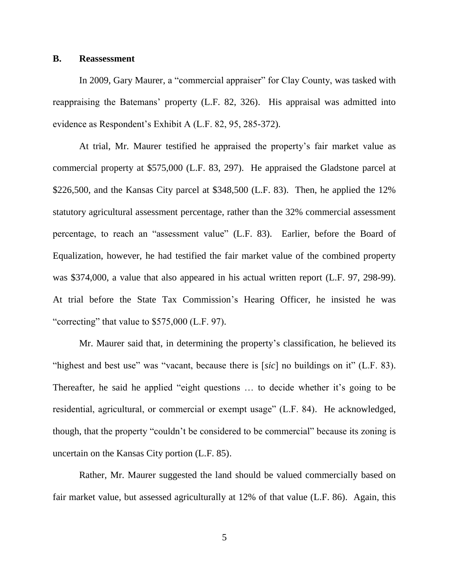#### **B. Reassessment**

In 2009, Gary Maurer, a "commercial appraiser" for Clay County, was tasked with reappraising the Batemans' property (L.F. 82, 326). His appraisal was admitted into evidence as Respondent's Exhibit A (L.F. 82, 95, 285-372).

At trial, Mr. Maurer testified he appraised the property's fair market value as commercial property at \$575,000 (L.F. 83, 297). He appraised the Gladstone parcel at \$226,500, and the Kansas City parcel at \$348,500 (L.F. 83). Then, he applied the 12% statutory agricultural assessment percentage, rather than the 32% commercial assessment percentage, to reach an "assessment value" (L.F. 83). Earlier, before the Board of Equalization, however, he had testified the fair market value of the combined property was \$374,000, a value that also appeared in his actual written report (L.F. 97, 298-99). At trial before the State Tax Commission's Hearing Officer, he insisted he was "correcting" that value to \$575,000 (L.F. 97).

Mr. Maurer said that, in determining the property's classification, he believed its "highest and best use" was "vacant, because there is [*sic*] no buildings on it" (L.F. 83). Thereafter, he said he applied "eight questions … to decide whether it's going to be residential, agricultural, or commercial or exempt usage" (L.F. 84). He acknowledged, though, that the property "couldn't be considered to be commercial" because its zoning is uncertain on the Kansas City portion (L.F. 85).

Rather, Mr. Maurer suggested the land should be valued commercially based on fair market value, but assessed agriculturally at 12% of that value (L.F. 86). Again, this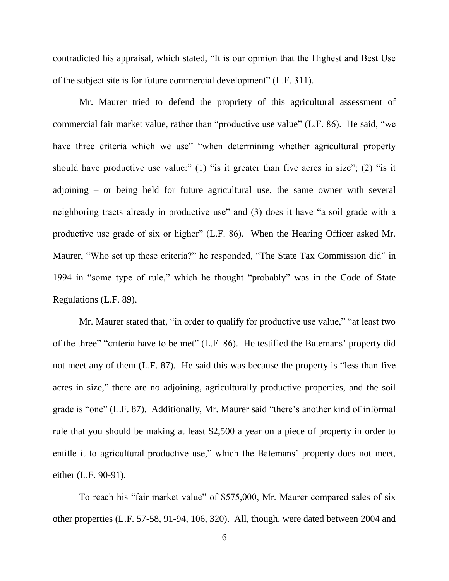contradicted his appraisal, which stated, "It is our opinion that the Highest and Best Use of the subject site is for future commercial development" (L.F. 311).

Mr. Maurer tried to defend the propriety of this agricultural assessment of commercial fair market value, rather than "productive use value" (L.F. 86). He said, "we have three criteria which we use" "when determining whether agricultural property should have productive use value:" (1) "is it greater than five acres in size"; (2) "is it adjoining – or being held for future agricultural use, the same owner with several neighboring tracts already in productive use" and (3) does it have "a soil grade with a productive use grade of six or higher" (L.F. 86). When the Hearing Officer asked Mr. Maurer, "Who set up these criteria?" he responded, "The State Tax Commission did" in 1994 in "some type of rule," which he thought "probably" was in the Code of State Regulations (L.F. 89).

Mr. Maurer stated that, "in order to qualify for productive use value," "at least two of the three" "criteria have to be met" (L.F. 86). He testified the Batemans' property did not meet any of them (L.F. 87). He said this was because the property is "less than five acres in size," there are no adjoining, agriculturally productive properties, and the soil grade is "one" (L.F. 87). Additionally, Mr. Maurer said "there's another kind of informal rule that you should be making at least \$2,500 a year on a piece of property in order to entitle it to agricultural productive use," which the Batemans' property does not meet, either (L.F. 90-91).

To reach his "fair market value" of \$575,000, Mr. Maurer compared sales of six other properties (L.F. 57-58, 91-94, 106, 320). All, though, were dated between 2004 and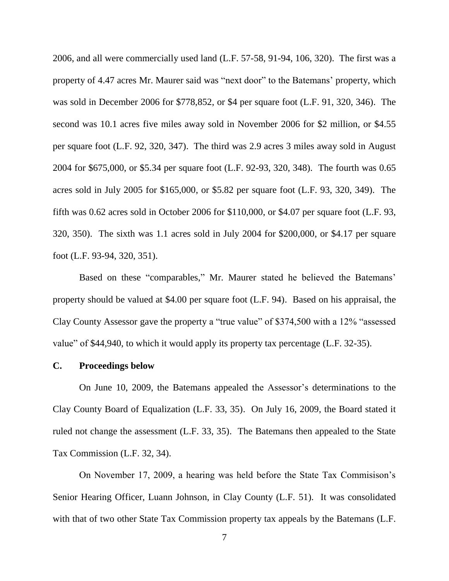2006, and all were commercially used land (L.F. 57-58, 91-94, 106, 320). The first was a property of 4.47 acres Mr. Maurer said was "next door" to the Batemans' property, which was sold in December 2006 for \$778,852, or \$4 per square foot (L.F. 91, 320, 346). The second was 10.1 acres five miles away sold in November 2006 for \$2 million, or \$4.55 per square foot (L.F. 92, 320, 347). The third was 2.9 acres 3 miles away sold in August 2004 for \$675,000, or \$5.34 per square foot (L.F. 92-93, 320, 348). The fourth was 0.65 acres sold in July 2005 for \$165,000, or \$5.82 per square foot (L.F. 93, 320, 349). The fifth was 0.62 acres sold in October 2006 for \$110,000, or \$4.07 per square foot (L.F. 93, 320, 350). The sixth was 1.1 acres sold in July 2004 for \$200,000, or \$4.17 per square foot (L.F. 93-94, 320, 351).

Based on these "comparables," Mr. Maurer stated he believed the Batemans' property should be valued at \$4.00 per square foot (L.F. 94). Based on his appraisal, the Clay County Assessor gave the property a "true value" of \$374,500 with a 12% "assessed value" of \$44,940, to which it would apply its property tax percentage (L.F. 32-35).

#### **C. Proceedings below**

On June 10, 2009, the Batemans appealed the Assessor's determinations to the Clay County Board of Equalization (L.F. 33, 35). On July 16, 2009, the Board stated it ruled not change the assessment (L.F. 33, 35). The Batemans then appealed to the State Tax Commission (L.F. 32, 34).

On November 17, 2009, a hearing was held before the State Tax Commisison's Senior Hearing Officer, Luann Johnson, in Clay County (L.F. 51). It was consolidated with that of two other State Tax Commission property tax appeals by the Batemans (L.F.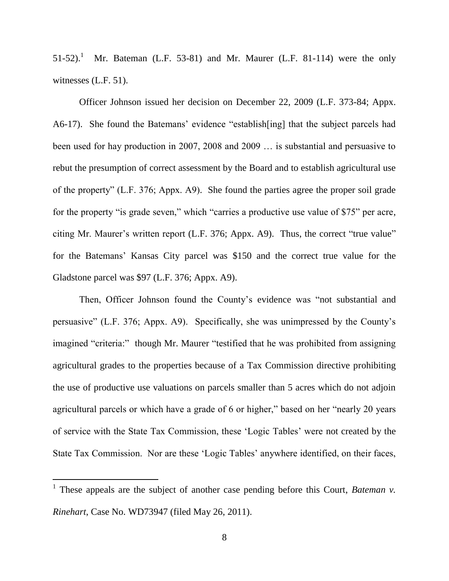$51-52$ ).<sup>1</sup> Mr. Bateman (L.F. 53-81) and Mr. Maurer (L.F. 81-114) were the only witnesses (L.F. 51).

Officer Johnson issued her decision on December 22, 2009 (L.F. 373-84; Appx. A6-17). She found the Batemans' evidence "establish[ing] that the subject parcels had been used for hay production in 2007, 2008 and 2009 … is substantial and persuasive to rebut the presumption of correct assessment by the Board and to establish agricultural use of the property" (L.F. 376; Appx. A9). She found the parties agree the proper soil grade for the property "is grade seven," which "carries a productive use value of \$75" per acre, citing Mr. Maurer's written report (L.F. 376; Appx. A9). Thus, the correct "true value" for the Batemans' Kansas City parcel was \$150 and the correct true value for the Gladstone parcel was \$97 (L.F. 376; Appx. A9).

Then, Officer Johnson found the County's evidence was "not substantial and persuasive" (L.F. 376; Appx. A9). Specifically, she was unimpressed by the County's imagined "criteria:" though Mr. Maurer "testified that he was prohibited from assigning agricultural grades to the properties because of a Tax Commission directive prohibiting the use of productive use valuations on parcels smaller than 5 acres which do not adjoin agricultural parcels or which have a grade of 6 or higher," based on her "nearly 20 years of service with the State Tax Commission, these 'Logic Tables' were not created by the State Tax Commission. Nor are these 'Logic Tables' anywhere identified, on their faces,

l

<sup>&</sup>lt;sup>1</sup> These appeals are the subject of another case pending before this Court, *Bateman v*. *Rinehart*, Case No. WD73947 (filed May 26, 2011).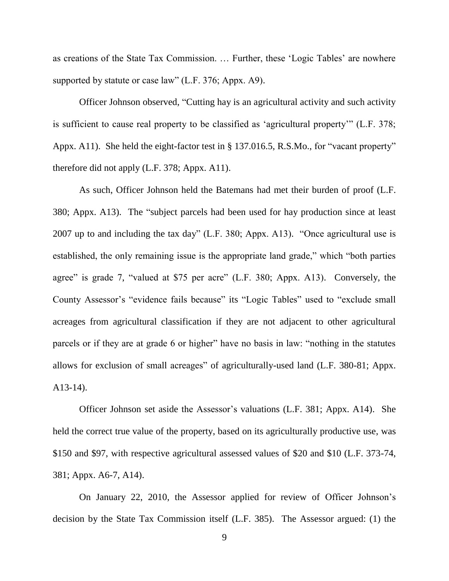as creations of the State Tax Commission. … Further, these 'Logic Tables' are nowhere supported by statute or case law" (L.F. 376; Appx. A9).

Officer Johnson observed, "Cutting hay is an agricultural activity and such activity is sufficient to cause real property to be classified as 'agricultural property'" (L.F. 378; Appx. A11). She held the eight-factor test in § 137.016.5, R.S.Mo., for "vacant property" therefore did not apply (L.F. 378; Appx. A11).

As such, Officer Johnson held the Batemans had met their burden of proof (L.F. 380; Appx. A13). The "subject parcels had been used for hay production since at least 2007 up to and including the tax day" (L.F. 380; Appx. A13). "Once agricultural use is established, the only remaining issue is the appropriate land grade," which "both parties agree" is grade 7, "valued at \$75 per acre" (L.F. 380; Appx. A13). Conversely, the County Assessor's "evidence fails because" its "Logic Tables" used to "exclude small acreages from agricultural classification if they are not adjacent to other agricultural parcels or if they are at grade 6 or higher" have no basis in law: "nothing in the statutes allows for exclusion of small acreages" of agriculturally-used land (L.F. 380-81; Appx. A13-14).

Officer Johnson set aside the Assessor's valuations (L.F. 381; Appx. A14). She held the correct true value of the property, based on its agriculturally productive use, was \$150 and \$97, with respective agricultural assessed values of \$20 and \$10 (L.F. 373-74, 381; Appx. A6-7, A14).

On January 22, 2010, the Assessor applied for review of Officer Johnson's decision by the State Tax Commission itself (L.F. 385). The Assessor argued: (1) the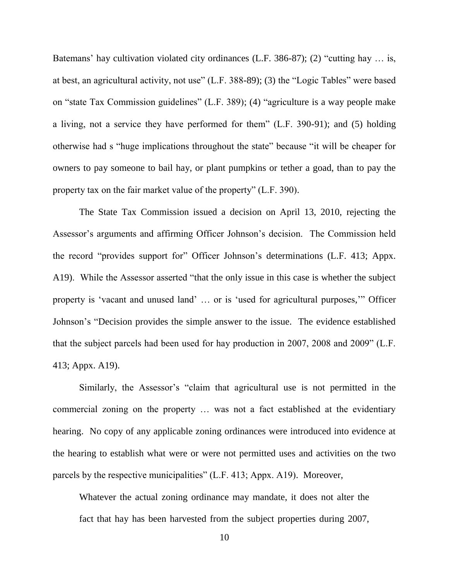Batemans' hay cultivation violated city ordinances (L.F. 386-87); (2) "cutting hay ... is, at best, an agricultural activity, not use" (L.F. 388-89); (3) the "Logic Tables" were based on "state Tax Commission guidelines" (L.F. 389); (4) "agriculture is a way people make a living, not a service they have performed for them" (L.F. 390-91); and (5) holding otherwise had s "huge implications throughout the state" because "it will be cheaper for owners to pay someone to bail hay, or plant pumpkins or tether a goad, than to pay the property tax on the fair market value of the property" (L.F. 390).

The State Tax Commission issued a decision on April 13, 2010, rejecting the Assessor's arguments and affirming Officer Johnson's decision. The Commission held the record "provides support for" Officer Johnson's determinations (L.F. 413; Appx. A19). While the Assessor asserted "that the only issue in this case is whether the subject property is 'vacant and unused land' … or is 'used for agricultural purposes,'" Officer Johnson's "Decision provides the simple answer to the issue. The evidence established that the subject parcels had been used for hay production in 2007, 2008 and 2009" (L.F. 413; Appx. A19).

Similarly, the Assessor's "claim that agricultural use is not permitted in the commercial zoning on the property … was not a fact established at the evidentiary hearing. No copy of any applicable zoning ordinances were introduced into evidence at the hearing to establish what were or were not permitted uses and activities on the two parcels by the respective municipalities" (L.F. 413; Appx. A19). Moreover,

Whatever the actual zoning ordinance may mandate, it does not alter the fact that hay has been harvested from the subject properties during 2007,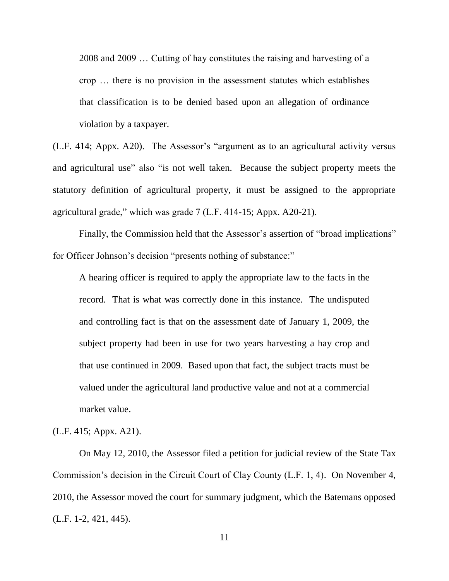2008 and 2009 … Cutting of hay constitutes the raising and harvesting of a crop … there is no provision in the assessment statutes which establishes that classification is to be denied based upon an allegation of ordinance violation by a taxpayer.

(L.F. 414; Appx. A20). The Assessor's "argument as to an agricultural activity versus and agricultural use" also "is not well taken. Because the subject property meets the statutory definition of agricultural property, it must be assigned to the appropriate agricultural grade," which was grade 7 (L.F. 414-15; Appx. A20-21).

Finally, the Commission held that the Assessor's assertion of "broad implications" for Officer Johnson's decision "presents nothing of substance:"

A hearing officer is required to apply the appropriate law to the facts in the record. That is what was correctly done in this instance. The undisputed and controlling fact is that on the assessment date of January 1, 2009, the subject property had been in use for two years harvesting a hay crop and that use continued in 2009. Based upon that fact, the subject tracts must be valued under the agricultural land productive value and not at a commercial market value.

(L.F. 415; Appx. A21).

On May 12, 2010, the Assessor filed a petition for judicial review of the State Tax Commission's decision in the Circuit Court of Clay County (L.F. 1, 4). On November 4, 2010, the Assessor moved the court for summary judgment, which the Batemans opposed (L.F. 1-2, 421, 445).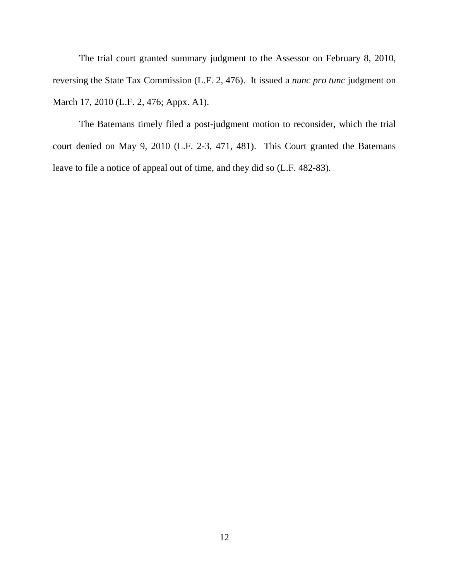The trial court granted summary judgment to the Assessor on February 8, 2010, reversing the State Tax Commission (L.F. 2, 476). It issued a *nunc pro tunc* judgment on March 17, 2010 (L.F. 2, 476; Appx. A1).

The Batemans timely filed a post-judgment motion to reconsider, which the trial court denied on May 9, 2010 (L.F. 2-3, 471, 481). This Court granted the Batemans leave to file a notice of appeal out of time, and they did so (L.F. 482-83).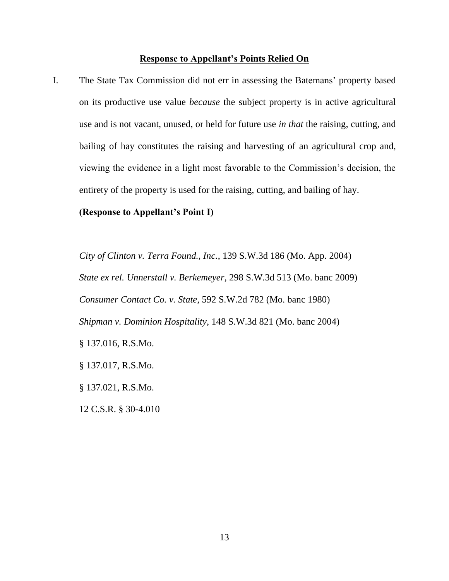#### **Response to Appellant's Points Relied On**

I. The State Tax Commission did not err in assessing the Batemans' property based on its productive use value *because* the subject property is in active agricultural use and is not vacant, unused, or held for future use *in that* the raising, cutting, and bailing of hay constitutes the raising and harvesting of an agricultural crop and, viewing the evidence in a light most favorable to the Commission's decision, the entirety of the property is used for the raising, cutting, and bailing of hay.

#### **(Response to Appellant's Point I)**

*City of Clinton v. Terra Found., Inc.*, 139 S.W.3d 186 (Mo. App. 2004) *State ex rel. Unnerstall v. Berkemeyer*, 298 S.W.3d 513 (Mo. banc 2009) *Consumer Contact Co. v. State*, 592 S.W.2d 782 (Mo. banc 1980) *Shipman v. Dominion Hospitality*, 148 S.W.3d 821 (Mo. banc 2004) § 137.016, R.S.Mo. § 137.017, R.S.Mo. § 137.021, R.S.Mo.

12 C.S.R. § 30-4.010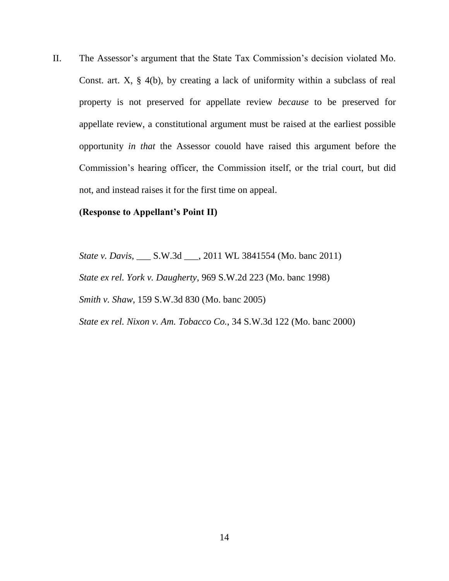II. The Assessor's argument that the State Tax Commission's decision violated Mo. Const. art. X, § 4(b), by creating a lack of uniformity within a subclass of real property is not preserved for appellate review *because* to be preserved for appellate review, a constitutional argument must be raised at the earliest possible opportunity *in that* the Assessor couold have raised this argument before the Commission's hearing officer, the Commission itself, or the trial court, but did not, and instead raises it for the first time on appeal.

#### **(Response to Appellant's Point II)**

*State v. Davis*, \_\_\_ S.W.3d \_\_\_, 2011 WL 3841554 (Mo. banc 2011) *State ex rel. York v. Daugherty*, 969 S.W.2d 223 (Mo. banc 1998) *Smith v. Shaw*, 159 S.W.3d 830 (Mo. banc 2005)

*State ex rel. Nixon v. Am. Tobacco Co.*, 34 S.W.3d 122 (Mo. banc 2000)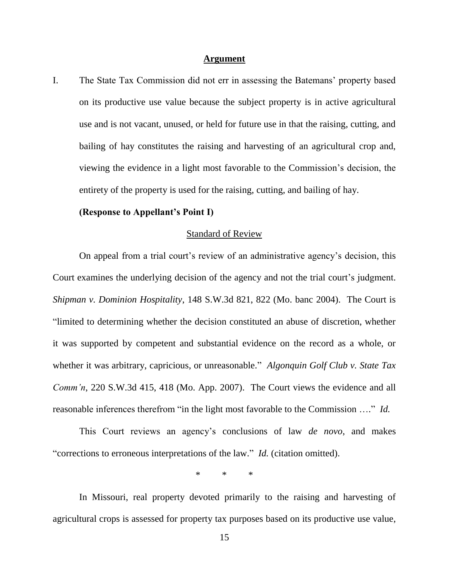#### **Argument**

I. The State Tax Commission did not err in assessing the Batemans' property based on its productive use value because the subject property is in active agricultural use and is not vacant, unused, or held for future use in that the raising, cutting, and bailing of hay constitutes the raising and harvesting of an agricultural crop and, viewing the evidence in a light most favorable to the Commission's decision, the entirety of the property is used for the raising, cutting, and bailing of hay.

#### **(Response to Appellant's Point I)**

#### Standard of Review

On appeal from a trial court's review of an administrative agency's decision, this Court examines the underlying decision of the agency and not the trial court's judgment. *Shipman v. Dominion Hospitality*, 148 S.W.3d 821, 822 (Mo. banc 2004). The Court is "limited to determining whether the decision constituted an abuse of discretion, whether it was supported by competent and substantial evidence on the record as a whole, or whether it was arbitrary, capricious, or unreasonable." *Algonquin Golf Club v. State Tax Comm'n*, 220 S.W.3d 415, 418 (Mo. App. 2007). The Court views the evidence and all reasonable inferences therefrom "in the light most favorable to the Commission …." *Id.*

This Court reviews an agency's conclusions of law *de novo*, and makes "corrections to erroneous interpretations of the law." *Id.* (citation omitted).

\* \* \*

In Missouri, real property devoted primarily to the raising and harvesting of agricultural crops is assessed for property tax purposes based on its productive use value,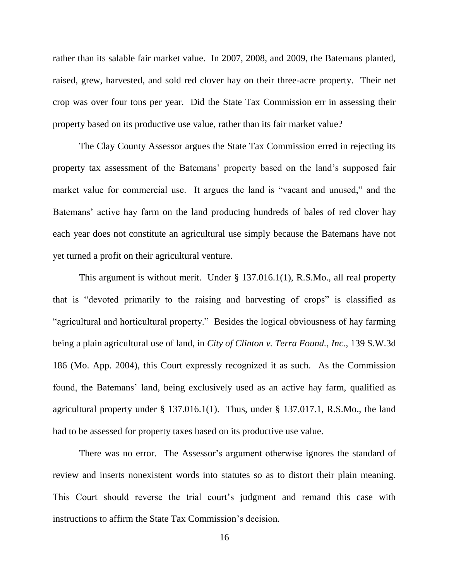rather than its salable fair market value. In 2007, 2008, and 2009, the Batemans planted, raised, grew, harvested, and sold red clover hay on their three-acre property. Their net crop was over four tons per year. Did the State Tax Commission err in assessing their property based on its productive use value, rather than its fair market value?

The Clay County Assessor argues the State Tax Commission erred in rejecting its property tax assessment of the Batemans' property based on the land's supposed fair market value for commercial use. It argues the land is "vacant and unused," and the Batemans' active hay farm on the land producing hundreds of bales of red clover hay each year does not constitute an agricultural use simply because the Batemans have not yet turned a profit on their agricultural venture.

This argument is without merit. Under § 137.016.1(1), R.S.Mo., all real property that is "devoted primarily to the raising and harvesting of crops" is classified as "agricultural and horticultural property." Besides the logical obviousness of hay farming being a plain agricultural use of land, in *City of Clinton v. Terra Found., Inc.*, 139 S.W.3d 186 (Mo. App. 2004), this Court expressly recognized it as such. As the Commission found, the Batemans' land, being exclusively used as an active hay farm, qualified as agricultural property under § 137.016.1(1). Thus, under § 137.017.1, R.S.Mo., the land had to be assessed for property taxes based on its productive use value.

There was no error. The Assessor's argument otherwise ignores the standard of review and inserts nonexistent words into statutes so as to distort their plain meaning. This Court should reverse the trial court's judgment and remand this case with instructions to affirm the State Tax Commission's decision.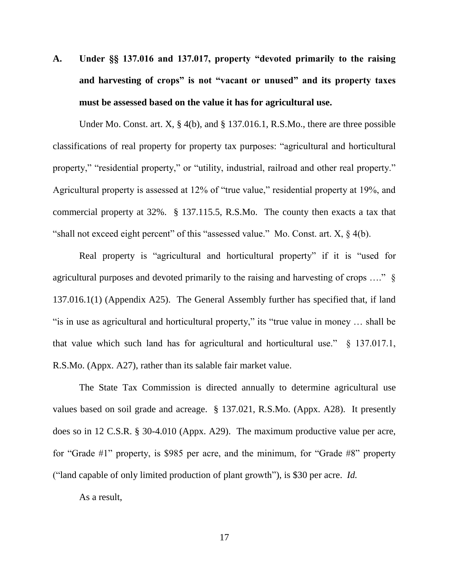**A. Under §§ 137.016 and 137.017, property "devoted primarily to the raising and harvesting of crops" is not "vacant or unused" and its property taxes must be assessed based on the value it has for agricultural use.**

Under Mo. Const. art. X, § 4(b), and § 137.016.1, R.S.Mo., there are three possible classifications of real property for property tax purposes: "agricultural and horticultural property," "residential property," or "utility, industrial, railroad and other real property." Agricultural property is assessed at 12% of "true value," residential property at 19%, and commercial property at 32%. § 137.115.5, R.S.Mo. The county then exacts a tax that "shall not exceed eight percent" of this "assessed value." Mo. Const. art. X, § 4(b).

Real property is "agricultural and horticultural property" if it is "used for agricultural purposes and devoted primarily to the raising and harvesting of crops …." § 137.016.1(1) (Appendix A25). The General Assembly further has specified that, if land "is in use as agricultural and horticultural property," its "true value in money … shall be that value which such land has for agricultural and horticultural use." § 137.017.1, R.S.Mo. (Appx. A27), rather than its salable fair market value.

The State Tax Commission is directed annually to determine agricultural use values based on soil grade and acreage. § 137.021, R.S.Mo. (Appx. A28). It presently does so in 12 C.S.R. § 30-4.010 (Appx. A29). The maximum productive value per acre, for "Grade #1" property, is \$985 per acre, and the minimum, for "Grade #8" property ("land capable of only limited production of plant growth"), is \$30 per acre. *Id.*

As a result,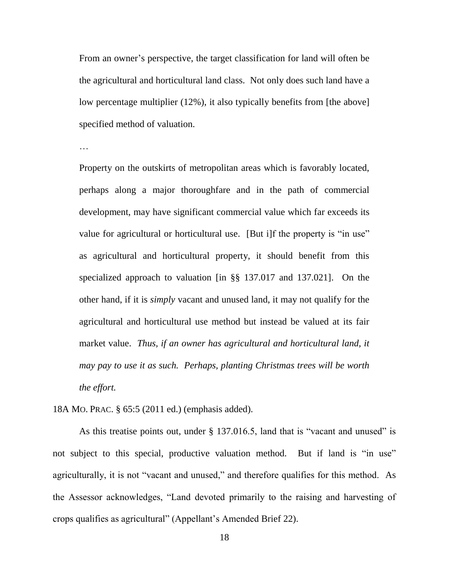From an owner's perspective, the target classification for land will often be the agricultural and horticultural land class. Not only does such land have a low percentage multiplier (12%), it also typically benefits from [the above] specified method of valuation.

…

Property on the outskirts of metropolitan areas which is favorably located, perhaps along a major thoroughfare and in the path of commercial development, may have significant commercial value which far exceeds its value for agricultural or horticultural use. [But i]f the property is "in use" as agricultural and horticultural property, it should benefit from this specialized approach to valuation [in §§ 137.017 and 137.021]. On the other hand, if it is *simply* vacant and unused land, it may not qualify for the agricultural and horticultural use method but instead be valued at its fair market value. *Thus, if an owner has agricultural and horticultural land, it may pay to use it as such. Perhaps, planting Christmas trees will be worth the effort.*

18A MO. PRAC. § 65:5 (2011 ed.) (emphasis added).

As this treatise points out, under § 137.016.5, land that is "vacant and unused" is not subject to this special, productive valuation method. But if land is "in use" agriculturally, it is not "vacant and unused," and therefore qualifies for this method. As the Assessor acknowledges, "Land devoted primarily to the raising and harvesting of crops qualifies as agricultural" (Appellant's Amended Brief 22).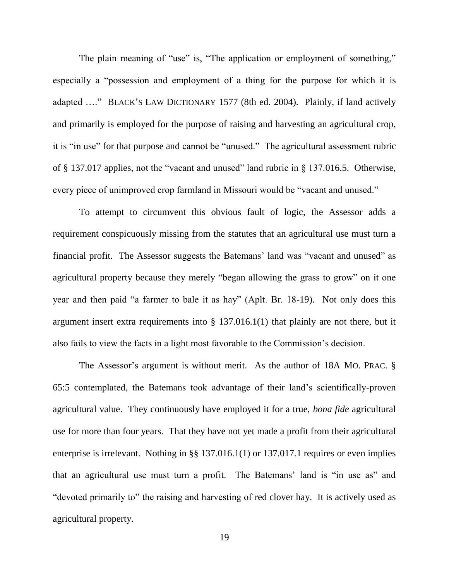The plain meaning of "use" is, "The application or employment of something," especially a "possession and employment of a thing for the purpose for which it is adapted …." BLACK'S LAW DICTIONARY 1577 (8th ed. 2004). Plainly, if land actively and primarily is employed for the purpose of raising and harvesting an agricultural crop, it is "in use" for that purpose and cannot be "unused." The agricultural assessment rubric of § 137.017 applies, not the "vacant and unused" land rubric in § 137.016.5. Otherwise, every piece of unimproved crop farmland in Missouri would be "vacant and unused."

To attempt to circumvent this obvious fault of logic, the Assessor adds a requirement conspicuously missing from the statutes that an agricultural use must turn a financial profit. The Assessor suggests the Batemans' land was "vacant and unused" as agricultural property because they merely "began allowing the grass to grow" on it one year and then paid "a farmer to bale it as hay" (Aplt. Br. 18-19). Not only does this argument insert extra requirements into § 137.016.1(1) that plainly are not there, but it also fails to view the facts in a light most favorable to the Commission's decision.

The Assessor's argument is without merit. As the author of 18A MO. PRAC. § 65:5 contemplated, the Batemans took advantage of their land's scientifically-proven agricultural value. They continuously have employed it for a true, *bona fide* agricultural use for more than four years. That they have not yet made a profit from their agricultural enterprise is irrelevant. Nothing in §§ 137.016.1(1) or 137.017.1 requires or even implies that an agricultural use must turn a profit. The Batemans' land is "in use as" and "devoted primarily to" the raising and harvesting of red clover hay. It is actively used as agricultural property.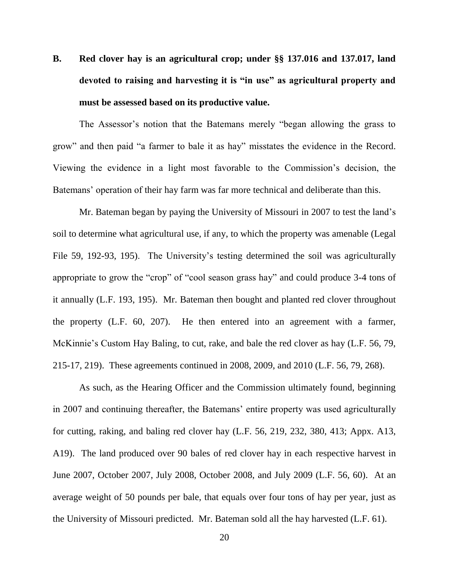# **B. Red clover hay is an agricultural crop; under §§ 137.016 and 137.017, land devoted to raising and harvesting it is "in use" as agricultural property and must be assessed based on its productive value.**

The Assessor's notion that the Batemans merely "began allowing the grass to grow" and then paid "a farmer to bale it as hay" misstates the evidence in the Record. Viewing the evidence in a light most favorable to the Commission's decision, the Batemans' operation of their hay farm was far more technical and deliberate than this.

Mr. Bateman began by paying the University of Missouri in 2007 to test the land's soil to determine what agricultural use, if any, to which the property was amenable (Legal File 59, 192-93, 195). The University's testing determined the soil was agriculturally appropriate to grow the "crop" of "cool season grass hay" and could produce 3-4 tons of it annually (L.F. 193, 195). Mr. Bateman then bought and planted red clover throughout the property (L.F. 60, 207). He then entered into an agreement with a farmer, McKinnie's Custom Hay Baling, to cut, rake, and bale the red clover as hay (L.F. 56, 79, 215-17, 219). These agreements continued in 2008, 2009, and 2010 (L.F. 56, 79, 268).

As such, as the Hearing Officer and the Commission ultimately found, beginning in 2007 and continuing thereafter, the Batemans' entire property was used agriculturally for cutting, raking, and baling red clover hay (L.F. 56, 219, 232, 380, 413; Appx. A13, A19). The land produced over 90 bales of red clover hay in each respective harvest in June 2007, October 2007, July 2008, October 2008, and July 2009 (L.F. 56, 60). At an average weight of 50 pounds per bale, that equals over four tons of hay per year, just as the University of Missouri predicted. Mr. Bateman sold all the hay harvested (L.F. 61).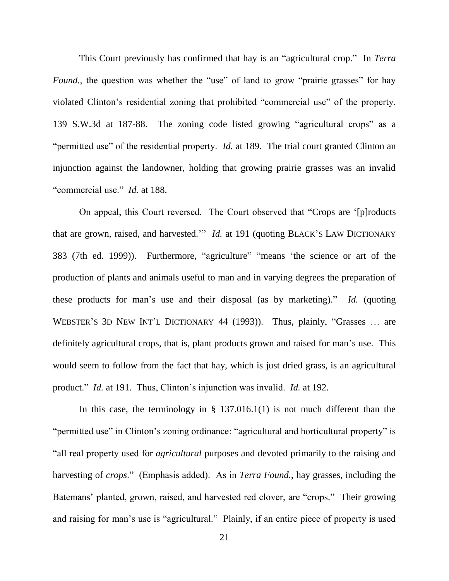This Court previously has confirmed that hay is an "agricultural crop." In *Terra Found.*, the question was whether the "use" of land to grow "prairie grasses" for hay violated Clinton's residential zoning that prohibited "commercial use" of the property. 139 S.W.3d at 187-88. The zoning code listed growing "agricultural crops" as a "permitted use" of the residential property. *Id.* at 189. The trial court granted Clinton an injunction against the landowner, holding that growing prairie grasses was an invalid "commercial use." *Id.* at 188.

On appeal, this Court reversed. The Court observed that "Crops are '[p]roducts that are grown, raised, and harvested.'" *Id.* at 191 (quoting BLACK'S LAW DICTIONARY 383 (7th ed. 1999)). Furthermore, "agriculture" "means 'the science or art of the production of plants and animals useful to man and in varying degrees the preparation of these products for man's use and their disposal (as by marketing)." *Id.* (quoting WEBSTER'S 3D NEW INT'L DICTIONARY 44 (1993)). Thus, plainly, "Grasses … are definitely agricultural crops, that is, plant products grown and raised for man's use. This would seem to follow from the fact that hay, which is just dried grass, is an agricultural product." *Id.* at 191. Thus, Clinton's injunction was invalid. *Id.* at 192.

In this case, the terminology in  $\S$  137.016.1(1) is not much different than the "permitted use" in Clinton's zoning ordinance: "agricultural and horticultural property" is "all real property used for *agricultural* purposes and devoted primarily to the raising and harvesting of *crops*." (Emphasis added). As in *Terra Found.*, hay grasses, including the Batemans' planted, grown, raised, and harvested red clover, are "crops." Their growing and raising for man's use is "agricultural." Plainly, if an entire piece of property is used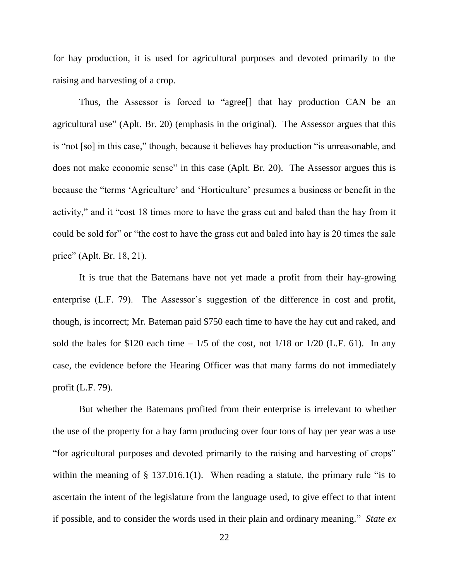for hay production, it is used for agricultural purposes and devoted primarily to the raising and harvesting of a crop.

Thus, the Assessor is forced to "agree[] that hay production CAN be an agricultural use" (Aplt. Br. 20) (emphasis in the original). The Assessor argues that this is "not [so] in this case," though, because it believes hay production "is unreasonable, and does not make economic sense" in this case (Aplt. Br. 20). The Assessor argues this is because the "terms 'Agriculture' and 'Horticulture' presumes a business or benefit in the activity," and it "cost 18 times more to have the grass cut and baled than the hay from it could be sold for" or "the cost to have the grass cut and baled into hay is 20 times the sale price" (Aplt. Br. 18, 21).

It is true that the Batemans have not yet made a profit from their hay-growing enterprise (L.F. 79). The Assessor's suggestion of the difference in cost and profit, though, is incorrect; Mr. Bateman paid \$750 each time to have the hay cut and raked, and sold the bales for \$120 each time  $-1/5$  of the cost, not  $1/18$  or  $1/20$  (L.F. 61). In any case, the evidence before the Hearing Officer was that many farms do not immediately profit (L.F. 79).

But whether the Batemans profited from their enterprise is irrelevant to whether the use of the property for a hay farm producing over four tons of hay per year was a use "for agricultural purposes and devoted primarily to the raising and harvesting of crops" within the meaning of  $\S$  137.016.1(1). When reading a statute, the primary rule "is to ascertain the intent of the legislature from the language used, to give effect to that intent if possible, and to consider the words used in their plain and ordinary meaning." *State ex*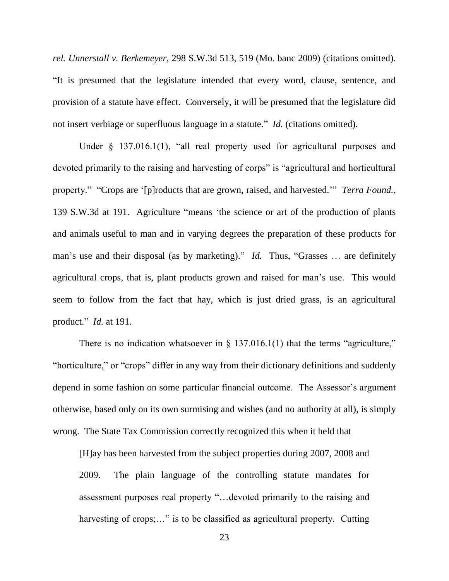*rel. Unnerstall v. Berkemeyer*, 298 S.W.3d 513, 519 (Mo. banc 2009) (citations omitted). "It is presumed that the legislature intended that every word, clause, sentence, and provision of a statute have effect. Conversely, it will be presumed that the legislature did not insert verbiage or superfluous language in a statute." *Id.* (citations omitted).

Under  $\frac{137.016.1(1)}{1000}$ , "all real property used for agricultural purposes and devoted primarily to the raising and harvesting of corps" is "agricultural and horticultural property." "Crops are '[p]roducts that are grown, raised, and harvested.'" *Terra Found.*, 139 S.W.3d at 191. Agriculture "means 'the science or art of the production of plants and animals useful to man and in varying degrees the preparation of these products for man's use and their disposal (as by marketing)." *Id.* Thus, "Grasses … are definitely agricultural crops, that is, plant products grown and raised for man's use. This would seem to follow from the fact that hay, which is just dried grass, is an agricultural product." *Id.* at 191.

There is no indication whatsoever in  $\S$  137.016.1(1) that the terms "agriculture," "horticulture," or "crops" differ in any way from their dictionary definitions and suddenly depend in some fashion on some particular financial outcome. The Assessor's argument otherwise, based only on its own surmising and wishes (and no authority at all), is simply wrong. The State Tax Commission correctly recognized this when it held that

[H]ay has been harvested from the subject properties during 2007, 2008 and 2009. The plain language of the controlling statute mandates for assessment purposes real property "…devoted primarily to the raising and harvesting of crops;..." is to be classified as agricultural property. Cutting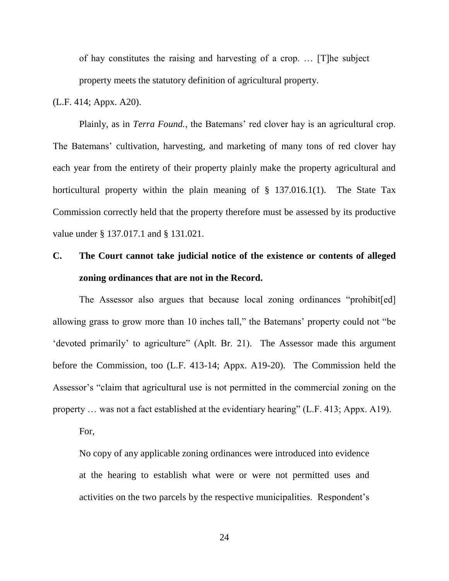of hay constitutes the raising and harvesting of a crop. … [T]he subject property meets the statutory definition of agricultural property.

(L.F. 414; Appx. A20).

Plainly, as in *Terra Found.*, the Batemans' red clover hay is an agricultural crop. The Batemans' cultivation, harvesting, and marketing of many tons of red clover hay each year from the entirety of their property plainly make the property agricultural and horticultural property within the plain meaning of  $\S$  137.016.1(1). The State Tax Commission correctly held that the property therefore must be assessed by its productive value under § 137.017.1 and § 131.021.

## **C. The Court cannot take judicial notice of the existence or contents of alleged zoning ordinances that are not in the Record.**

The Assessor also argues that because local zoning ordinances "prohibit[ed] allowing grass to grow more than 10 inches tall," the Batemans' property could not "be 'devoted primarily' to agriculture" (Aplt. Br. 21). The Assessor made this argument before the Commission, too (L.F. 413-14; Appx. A19-20). The Commission held the Assessor's "claim that agricultural use is not permitted in the commercial zoning on the property … was not a fact established at the evidentiary hearing" (L.F. 413; Appx. A19).

For,

No copy of any applicable zoning ordinances were introduced into evidence at the hearing to establish what were or were not permitted uses and activities on the two parcels by the respective municipalities. Respondent's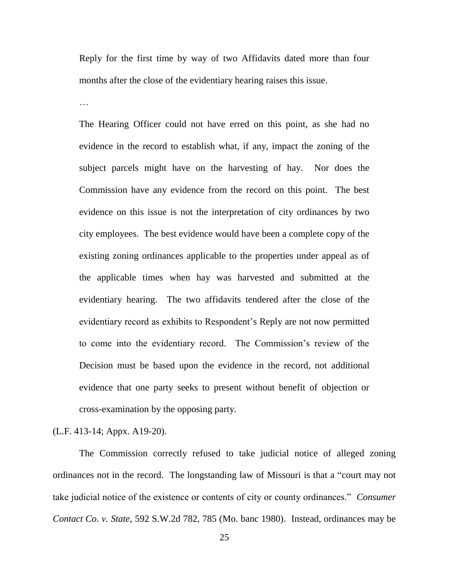Reply for the first time by way of two Affidavits dated more than four months after the close of the evidentiary hearing raises this issue.

The Hearing Officer could not have erred on this point, as she had no evidence in the record to establish what, if any, impact the zoning of the subject parcels might have on the harvesting of hay. Nor does the Commission have any evidence from the record on this point. The best evidence on this issue is not the interpretation of city ordinances by two city employees. The best evidence would have been a complete copy of the existing zoning ordinances applicable to the properties under appeal as of the applicable times when hay was harvested and submitted at the evidentiary hearing. The two affidavits tendered after the close of the evidentiary record as exhibits to Respondent's Reply are not now permitted to come into the evidentiary record. The Commission's review of the Decision must be based upon the evidence in the record, not additional evidence that one party seeks to present without benefit of objection or cross-examination by the opposing party.

(L.F. 413-14; Appx. A19-20).

The Commission correctly refused to take judicial notice of alleged zoning ordinances not in the record. The longstanding law of Missouri is that a "court may not take judicial notice of the existence or contents of city or county ordinances." *Consumer Contact Co. v. State*, 592 S.W.2d 782, 785 (Mo. banc 1980). Instead, ordinances may be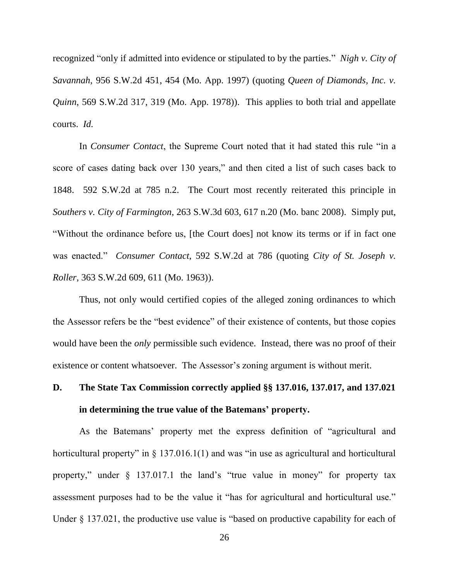recognized "only if admitted into evidence or stipulated to by the parties." *Nigh v. City of Savannah*, 956 S.W.2d 451, 454 (Mo. App. 1997) (quoting *Queen of Diamonds, Inc. v. Quinn*, 569 S.W.2d 317, 319 (Mo. App. 1978)). This applies to both trial and appellate courts. *Id.*

In *Consumer Contact*, the Supreme Court noted that it had stated this rule "in a score of cases dating back over 130 years," and then cited a list of such cases back to 1848. 592 S.W.2d at 785 n.2. The Court most recently reiterated this principle in *Southers v. City of Farmington*, 263 S.W.3d 603, 617 n.20 (Mo. banc 2008). Simply put, "Without the ordinance before us, [the Court does] not know its terms or if in fact one was enacted." *Consumer Contact*, 592 S.W.2d at 786 (quoting *City of St. Joseph v. Roller*, 363 S.W.2d 609, 611 (Mo. 1963)).

Thus, not only would certified copies of the alleged zoning ordinances to which the Assessor refers be the "best evidence" of their existence of contents, but those copies would have been the *only* permissible such evidence. Instead, there was no proof of their existence or content whatsoever. The Assessor's zoning argument is without merit.

## **D. The State Tax Commission correctly applied §§ 137.016, 137.017, and 137.021 in determining the true value of the Batemans' property.**

As the Batemans' property met the express definition of "agricultural and horticultural property" in  $\S$  137.016.1(1) and was "in use as agricultural and horticultural property," under § 137.017.1 the land's "true value in money" for property tax assessment purposes had to be the value it "has for agricultural and horticultural use." Under § 137.021, the productive use value is "based on productive capability for each of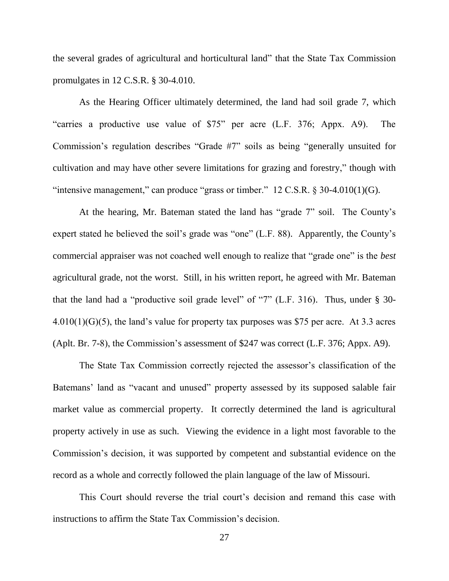the several grades of agricultural and horticultural land" that the State Tax Commission promulgates in 12 C.S.R. § 30-4.010.

As the Hearing Officer ultimately determined, the land had soil grade 7, which "carries a productive use value of \$75" per acre (L.F. 376; Appx. A9). The Commission's regulation describes "Grade #7" soils as being "generally unsuited for cultivation and may have other severe limitations for grazing and forestry," though with "intensive management," can produce "grass or timber."  $12 \text{ C.S.R.}$  § 30-4.010(1)(G).

At the hearing, Mr. Bateman stated the land has "grade 7" soil. The County's expert stated he believed the soil's grade was "one" (L.F. 88). Apparently, the County's commercial appraiser was not coached well enough to realize that "grade one" is the *best* agricultural grade, not the worst. Still, in his written report, he agreed with Mr. Bateman that the land had a "productive soil grade level" of "7" (L.F. 316). Thus, under § 30-  $4.010(1)(G)(5)$ , the land's value for property tax purposes was \$75 per acre. At 3.3 acres (Aplt. Br. 7-8), the Commission's assessment of \$247 was correct (L.F. 376; Appx. A9).

The State Tax Commission correctly rejected the assessor's classification of the Batemans' land as "vacant and unused" property assessed by its supposed salable fair market value as commercial property. It correctly determined the land is agricultural property actively in use as such. Viewing the evidence in a light most favorable to the Commission's decision, it was supported by competent and substantial evidence on the record as a whole and correctly followed the plain language of the law of Missouri.

This Court should reverse the trial court's decision and remand this case with instructions to affirm the State Tax Commission's decision.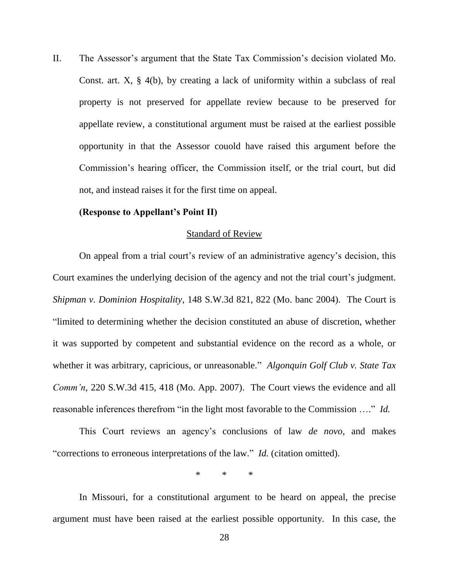II. The Assessor's argument that the State Tax Commission's decision violated Mo. Const. art. X, § 4(b), by creating a lack of uniformity within a subclass of real property is not preserved for appellate review because to be preserved for appellate review, a constitutional argument must be raised at the earliest possible opportunity in that the Assessor couold have raised this argument before the Commission's hearing officer, the Commission itself, or the trial court, but did not, and instead raises it for the first time on appeal.

#### **(Response to Appellant's Point II)**

#### Standard of Review

On appeal from a trial court's review of an administrative agency's decision, this Court examines the underlying decision of the agency and not the trial court's judgment. *Shipman v. Dominion Hospitality*, 148 S.W.3d 821, 822 (Mo. banc 2004). The Court is "limited to determining whether the decision constituted an abuse of discretion, whether it was supported by competent and substantial evidence on the record as a whole, or whether it was arbitrary, capricious, or unreasonable." *Algonquin Golf Club v. State Tax Comm'n*, 220 S.W.3d 415, 418 (Mo. App. 2007). The Court views the evidence and all reasonable inferences therefrom "in the light most favorable to the Commission …." *Id.*

This Court reviews an agency's conclusions of law *de novo*, and makes "corrections to erroneous interpretations of the law." *Id.* (citation omitted).

\* \* \*

In Missouri, for a constitutional argument to be heard on appeal, the precise argument must have been raised at the earliest possible opportunity. In this case, the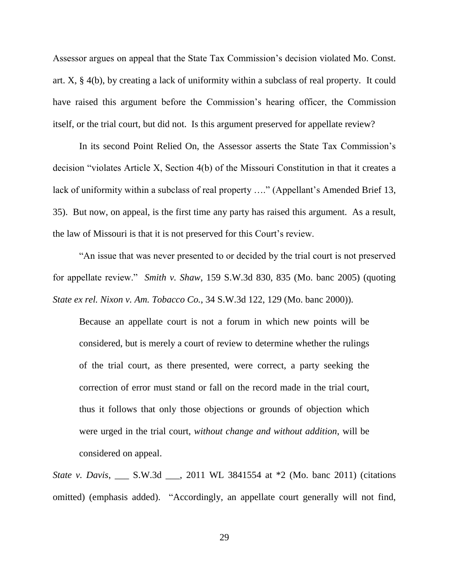Assessor argues on appeal that the State Tax Commission's decision violated Mo. Const. art. X, § 4(b), by creating a lack of uniformity within a subclass of real property. It could have raised this argument before the Commission's hearing officer, the Commission itself, or the trial court, but did not. Is this argument preserved for appellate review?

In its second Point Relied On, the Assessor asserts the State Tax Commission's decision "violates Article X, Section 4(b) of the Missouri Constitution in that it creates a lack of uniformity within a subclass of real property ...." (Appellant's Amended Brief 13, 35). But now, on appeal, is the first time any party has raised this argument. As a result, the law of Missouri is that it is not preserved for this Court's review.

"An issue that was never presented to or decided by the trial court is not preserved for appellate review." *Smith v. Shaw*, 159 S.W.3d 830, 835 (Mo. banc 2005) (quoting *State ex rel. Nixon v. Am. Tobacco Co.*, 34 S.W.3d 122, 129 (Mo. banc 2000)).

Because an appellate court is not a forum in which new points will be considered, but is merely a court of review to determine whether the rulings of the trial court, as there presented, were correct, a party seeking the correction of error must stand or fall on the record made in the trial court, thus it follows that only those objections or grounds of objection which were urged in the trial court, *without change and without addition*, will be considered on appeal.

*State v. Davis*, \_\_\_ S.W.3d \_\_\_, 2011 WL 3841554 at \*2 (Mo. banc 2011) (citations omitted) (emphasis added). "Accordingly, an appellate court generally will not find,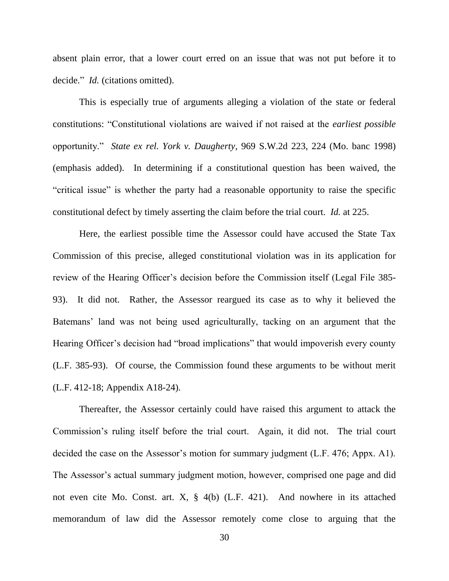absent plain error, that a lower court erred on an issue that was not put before it to decide." *Id.* (citations omitted).

This is especially true of arguments alleging a violation of the state or federal constitutions: "Constitutional violations are waived if not raised at the *earliest possible* opportunity." *State ex rel. York v. Daugherty*, 969 S.W.2d 223, 224 (Mo. banc 1998) (emphasis added). In determining if a constitutional question has been waived, the "critical issue" is whether the party had a reasonable opportunity to raise the specific constitutional defect by timely asserting the claim before the trial court. *Id.* at 225.

Here, the earliest possible time the Assessor could have accused the State Tax Commission of this precise, alleged constitutional violation was in its application for review of the Hearing Officer's decision before the Commission itself (Legal File 385- 93). It did not. Rather, the Assessor reargued its case as to why it believed the Batemans' land was not being used agriculturally, tacking on an argument that the Hearing Officer's decision had "broad implications" that would impoverish every county (L.F. 385-93). Of course, the Commission found these arguments to be without merit (L.F. 412-18; Appendix A18-24).

Thereafter, the Assessor certainly could have raised this argument to attack the Commission's ruling itself before the trial court. Again, it did not. The trial court decided the case on the Assessor's motion for summary judgment (L.F. 476; Appx. A1). The Assessor's actual summary judgment motion, however, comprised one page and did not even cite Mo. Const. art. X, § 4(b) (L.F. 421). And nowhere in its attached memorandum of law did the Assessor remotely come close to arguing that the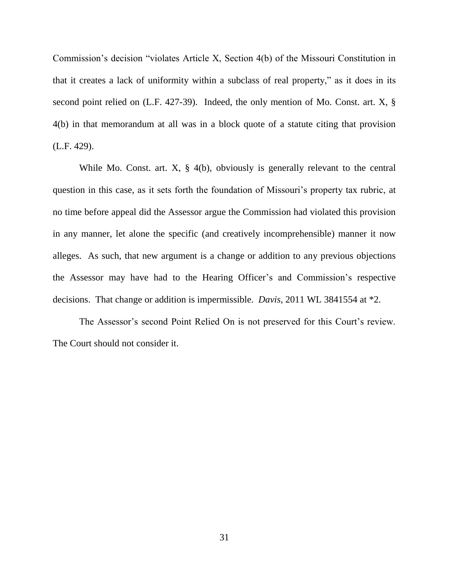Commission's decision "violates Article X, Section 4(b) of the Missouri Constitution in that it creates a lack of uniformity within a subclass of real property," as it does in its second point relied on (L.F. 427-39). Indeed, the only mention of Mo. Const. art. X, § 4(b) in that memorandum at all was in a block quote of a statute citing that provision (L.F. 429).

While Mo. Const. art. X, § 4(b), obviously is generally relevant to the central question in this case, as it sets forth the foundation of Missouri's property tax rubric, at no time before appeal did the Assessor argue the Commission had violated this provision in any manner, let alone the specific (and creatively incomprehensible) manner it now alleges. As such, that new argument is a change or addition to any previous objections the Assessor may have had to the Hearing Officer's and Commission's respective decisions. That change or addition is impermissible. *Davis*, 2011 WL 3841554 at \*2.

The Assessor's second Point Relied On is not preserved for this Court's review. The Court should not consider it.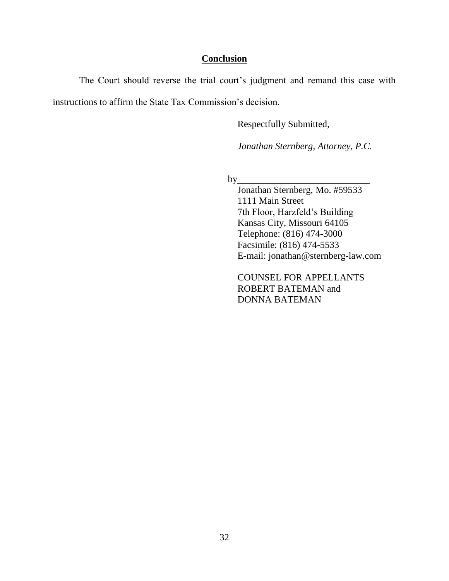#### **Conclusion**

The Court should reverse the trial court's judgment and remand this case with instructions to affirm the State Tax Commission's decision.

Respectfully Submitted,

*Jonathan Sternberg, Attorney, P.C.*

 $by$ 

Jonathan Sternberg, Mo. #59533 1111 Main Street 7th Floor, Harzfeld's Building Kansas City, Missouri 64105 Telephone: (816) 474-3000 Facsimile: (816) 474-5533 E-mail: jonathan@sternberg-law.com

COUNSEL FOR APPELLANTS ROBERT BATEMAN and DONNA BATEMAN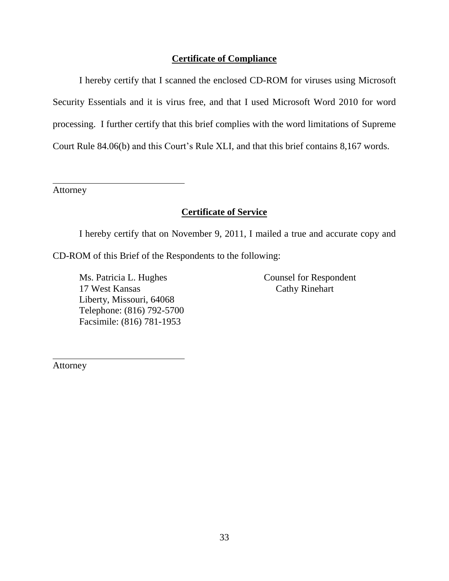#### **Certificate of Compliance**

I hereby certify that I scanned the enclosed CD-ROM for viruses using Microsoft Security Essentials and it is virus free, and that I used Microsoft Word 2010 for word processing. I further certify that this brief complies with the word limitations of Supreme Court Rule 84.06(b) and this Court's Rule XLI, and that this brief contains 8,167 words.

Attorney

#### **Certificate of Service**

I hereby certify that on November 9, 2011, I mailed a true and accurate copy and

CD-ROM of this Brief of the Respondents to the following:

Ms. Patricia L. Hughes 17 West Kansas Liberty, Missouri, 64068 Telephone: (816) 792-5700 Facsimile: (816) 781-1953

Counsel for Respondent Cathy Rinehart

Attorney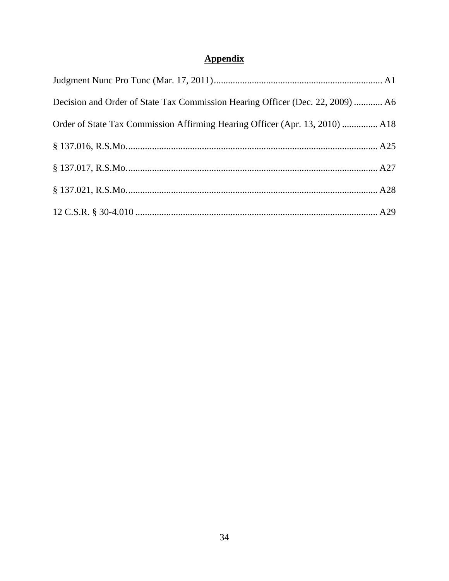## **Appendix**

| Decision and Order of State Tax Commission Hearing Officer (Dec. 22, 2009)  A6 |  |
|--------------------------------------------------------------------------------|--|
| Order of State Tax Commission Affirming Hearing Officer (Apr. 13, 2010)  A18   |  |
|                                                                                |  |
|                                                                                |  |
|                                                                                |  |
|                                                                                |  |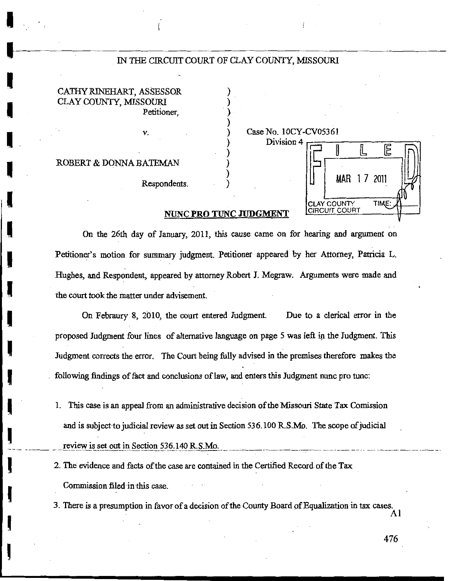#### IN THE CIRCUIT COURT OF CLAY COUNTY, MISSOURI

CATHY RINEHART, ASSESSOR CLAY COUNTY, MISSOURI Petitioner.

v.

ROBERT & DONNA BATEMAN

Respondents.

#### Case No. 10CY-CV05361 Division 4

扂 IL MAR 17 2011 **TIME CLAY COUNTY CIRCUIT COURT** 

#### NUNC PRO TUNC JUDGMENT

On the 26th day of January, 2011, this cause came on for hearing and argument on Petitioner's motion for summary judgment. Petitioner appeared by her Attorney, Patricia L. Hughes, and Respondent, appeared by attorney Robert J. Megraw. Arguments were made and the court took the matter under advisement.

On Febraury 8, 2010, the court entered Judgment. Due to a clerical error in the proposed Judgment four lines of alternative language on page 5 was left in the Judgment. This Judgment corrects the error. The Court being fully advised in the premises therefore makes the following findings of fact and conclusions of law, and enters this Judgment nunc pro tunc:

- 1. This case is an appeal from an administrative decision of the Missouri State Tax Comission and is subject to judicial review as set out in Section 536.100 R.S.Mo. The scope of judicial review is set out in Section 536.140 R.S.Mo.
- 2. The evidence and facts of the case are contained in the Certified Record of the Tax Commission filed in this case.

3. There is a presumption in favor of a decision of the County Board of Equalization in tax cases.

Al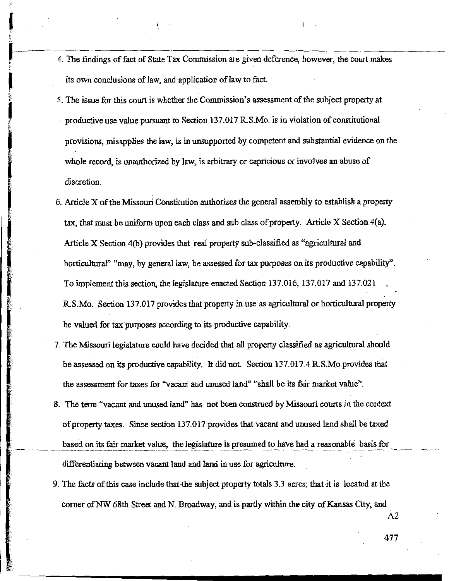- 4. The findings of fact of State Tax Commission are given deference, however, the court makes its own conclusions of law, and application of law to fact.
- 5. The issue for this court is whether the Commission's assessment of the subject property at productive use value pursuant to Section 137.017 R.S.Mo. is in violation of constitutional provisions, misapplies the law, is in unsupported by competent and substantial evidence on the whole record, is unauthorized by law, is arbitrary or capricious or involves an abuse of discretion.
- 6. Article X of the Missouri Constitution authorizes the general assembly to establish a property tax, that must be uniform upon each class and sub class of property. Article X Section 4(a). Article X Section 4(b) provides that real property sub-classified as "agricultural and horticultural" "may, by general law, be assessed for tax purposes on its productive capability". To implement this section, the legislature enacted Section 137.016, 137.017 and 137.021 R.S.Mo. Section 137.017 provides that property in use as agricultural or horticultural property be valued for tax purposes according to its productive capability.
- 7. The Missouri legislature could have decided that all property classified as agricultural should be assessed on its productive capability. It did not. Section 137.017.4 R.S.Mo provides that the assessment for taxes for "vacant and unused land" "shall be its fair market value".
- 8. The term "vacant and unused land" has not been construed by Missouri courts in the context of property taxes. Since section 137.017 provides that vacant and unused land shall be taxed based on its fair market value, the legislature is presumed to have had a reasonable basis for differentiating between vacant land and land in use for agriculture.
- 9. The facts of this case include that the subject property totals 3.3 acres; that it is located at the corner of NW 68th Street and N. Broadway, and is partly within the city of Kansas City, and

A2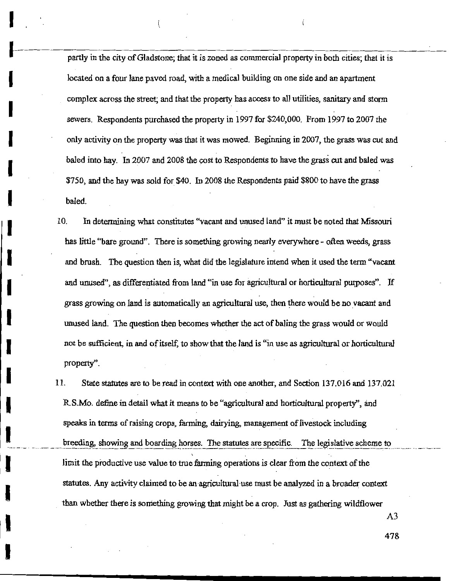partly in the city of Gladstone; that it is zoned as commercial property in both cities; that it is located on a four lane paved road, with a medical building on one side and an apartment complex across the street; and that the property has access to all utilities, sanitary and storm sewers. Respondents purchased the property in 1997 for \$240,000. From 1997 to 2007 the only activity on the property was that it was mowed. Beginning in 2007, the grass was cut and baled into hay. In 2007 and 2008 the cost to Respondents to have the grass cut and baled was \$750, and the hay was sold for \$40. In 2008 the Respondents paid \$800 to have the grass baled.

10. In determining what constitutes "vacant and unused land" it must be noted that Missouri has little "bare ground". There is something growing nearly everywhere - often weeds, grass and brush. The question then is, what did the legislature intend when it used the term "vacant and unused", as differentiated from land "in use for agricultural or horticultural purposes". If grass growing on land is automatically an agricultural use, then there would be no vacant and unused land. The question then becomes whether the act of baling the grass would or would not be sufficient, in and of itself, to show that the land is "in use as agricultural or horticultural property".

11. State statutes are to be read in context with one another, and Section 137.016 and 137.021 R.S.Mo. define in detail what it means to be "agricultural and horticultural property", and speaks in terms of raising crops, farming, dairying, management of livestock including breeding, showing and boarding horses. The statutes are specific. The legislative scheme to limit the productive use value to true farming operations is clear from the context of the statutes. Any activity claimed to be an agricultural use must be analyzed in a broader context than whether there is something growing that might be a crop. Just as gathering wildflower

 $A<sub>3</sub>$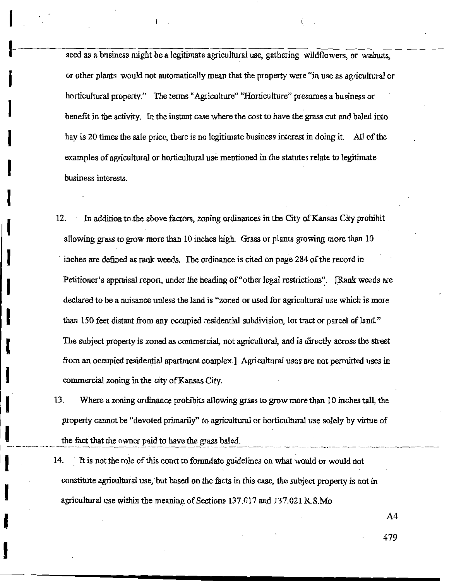seed as a business might be a legitimate agricultural use, gathering wildflowers, or walnuts, or other plants would not automatically mean that the property were "in use as agricultural or horticultural property." The terms "Agriculture" "Horticulture" presumes a business or benefit in the activity. In the instant case where the cost to have the grass cut and baled into hay is 20 times the sale price, there is no legitimate business interest in doing it. All of the examples of agricultural or horticultural use mentioned in the statutes relate to legitimate business interests.

- 12. In addition to the above factors, zoning ordinances in the City of Kansas City prohibit allowing grass to grow more than 10 inches high. Grass or plants growing more than 10 inches are defined as rank weeds. The ordinance is cited on page 284 of the record in Petitioner's appraisal report, under the heading of "other legal restrictions". [Rank weeds are declared to be a nuisance unless the land is "zoned or used for agricultural use which is more than 150 feet distant from any occupied residential subdivision, lot tract or parcel of land." The subject property is zoned as commercial, not agricultural, and is directly across the street from an occupied residential apartment complex.] Agricultural uses are not permitted uses in commercial zoning in the city of Kansas City.
- 13. Where a zoning ordinance prohibits allowing grass to grow more than 10 inches tall, the property cannot be "devoted primarily" to agricultural or horticultural use solely by virtue of the fact that the owner paid to have the grass baled.
- 14. It is not the role of this court to formulate guidelines on what would or would not constitute agricultural use, but based on the facts in this case, the subject property is not in agricultural use within the meaning of Sections 137.017 and 137.021 R.S.Mo.

A4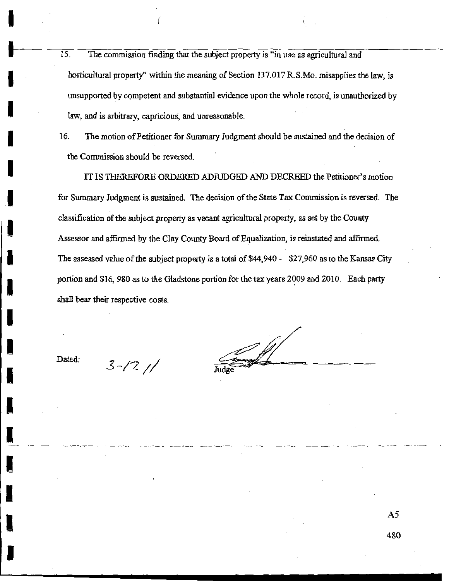- $\overline{15}$ . The commission finding that the subject property is "in use as agricultural and horticultural property" within the meaning of Section 137.017 R.S.Mo. misapplies the law, is unsupported by competent and substantial evidence upon the whole record, is unauthorized by law, and is arbitrary, capricious, and unreasonable.
- The motion of Petitioner for Summary Judgment should be sustained and the decision of 16. the Commission should be reversed.

IT IS THEREFORE ORDERED ADJUDGED AND DECREED the Petitioner's motion for Summary Judgment is sustained. The decision of the State Tax Commission is reversed. The classification of the subject property as vacant agricultural property, as set by the County Assessor and affirmed by the Clay County Board of Equalization, is reinstated and affirmed. The assessed value of the subject property is a total of \$44,940 - \$27,960 as to the Kansas City portion and \$16, 980 as to the Gladstone portion for the tax years 2009 and 2010. Each party shall bear their respective costs.

Dated:

 $3 - 17$ 

 $A<sub>5</sub>$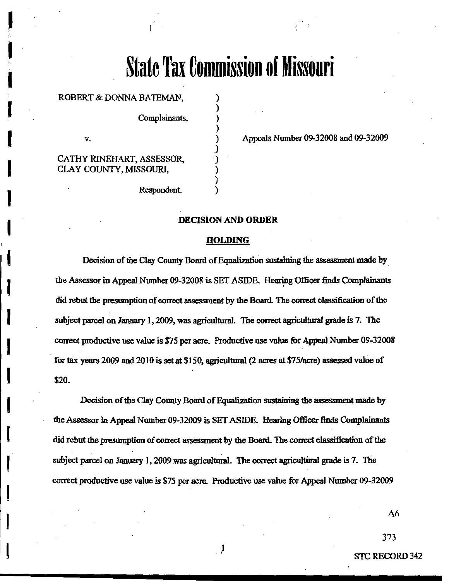# **State Tax Commission of Missouri**

#### ROBERT & DONNA BATEMAN,

Complainants,

v.

CATHY RINEHART, ASSESSOR, CLAY COUNTY, MISSOURI,

Appeals Number 09-32008 and 09-32009

Respondent.

#### **DECISION AND ORDER**

#### **HOLDING**

Decision of the Clay County Board of Equalization sustaining the assessment made by the Assessor in Appeal Number 09-32008 is SET ASIDE. Hearing Officer finds Complainants did rebut the presumption of correct assessment by the Board. The correct classification of the subject parcel on January 1, 2009, was agricultural. The correct agricultural grade is 7. The correct productive use value is \$75 per acre. Productive use value for Appeal Number 09-32008 for tax years 2009 and 2010 is set at \$150, agricultural (2 acres at \$75/acre) assessed value of \$20.

Decision of the Clay County Board of Equalization sustaining the assessment made by the Assessor in Appeal Number 09-32009 is SET ASIDE. Hearing Officer finds Complainants did rebut the presumption of correct assessment by the Board. The correct classification of the subject parcel on January 1, 2009 was agricultural. The correct agricultural grade is 7. The correct productive use value is \$75 per acre. Productive use value for Appeal Number 09-32009

 $A6$ 

373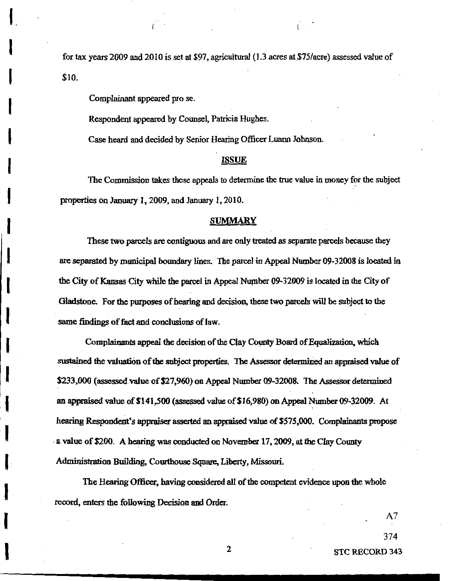for tax years 2009 and 2010 is set at \$97, agricultural (1.3 acres at \$75/acre) assessed value of \$10.

Complainant appeared pro se.

Respondent appeared by Counsel, Patricia Hughes.

Case heard and decided by Senior Hearing Officer Luann Johnson.

#### **ISSUE**

The Commission takes these appeals to determine the true value in money for the subject properties on January 1, 2009, and January 1, 2010.

#### **SUMMARY**

These two parcels are contiguous and are only treated as separate parcels because they are separated by municipal boundary lines. The parcel in Appeal Number 09-32008 is located in the City of Kansas City while the parcel in Appeal Number 09-32009 is located in the City of Gladstone. For the purposes of hearing and decision, these two parcels will be subject to the same findings of fact and conclusions of law.

Complainants appeal the decision of the Clay County Board of Equalization, which sustained the valuation of the subject properties. The Assessor determined an appraised value of \$233,000 (assessed value of \$27,960) on Appeal Number 09-32008. The Assessor determined an appraised value of \$141,500 (assessed value of \$16,980) on Appeal Number 09-32009. At hearing Respondent's appraiser asserted an appraised value of \$575,000. Complainants propose a value of \$200. A hearing was conducted on November 17, 2009, at the Clay County Administration Building, Courthouse Square, Liberty, Missouri.

The Hearing Officer, having considered all of the competent evidence upon the whole record, enters the following Decision and Order.

 $A<sub>7</sub>$ 

374

**STC RECORD 343** 

 $\overline{2}$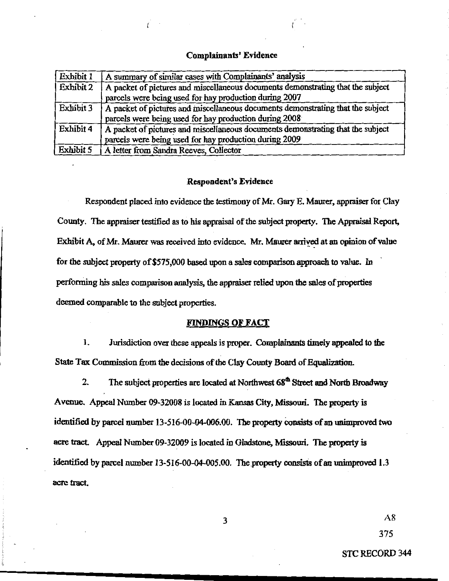#### **Complainants' Evidence**

| Exhibit 1 | A summary of similar cases with Complainants' analysis                          |  |
|-----------|---------------------------------------------------------------------------------|--|
| Exhibit 2 | A packet of pictures and miscellaneous documents demonstrating that the subject |  |
|           | parcels were being used for hay production during 2007                          |  |
| Exhibit 3 | A packet of pictures and miscellaneous documents demonstrating that the subject |  |
|           | parcels were being used for hay production during 2008                          |  |
| Exhibit 4 | A packet of pictures and miscellaneous documents demonstrating that the subject |  |
|           | parcels were being used for hay production during 2009                          |  |
| Exhibit 5 | A letter from Sandra Reeves, Collector                                          |  |

#### **Respondent's Evidence**

Respondent placed into evidence the testimony of Mr. Gary E. Maurer, appraiser for Clay County. The appraiser testified as to his appraisal of the subject property. The Appraisal Report, Exhibit A, of Mr. Maurer was received into evidence. Mr. Maurer arrived at an opinion of value for the subject property of \$575,000 based upon a sales comparison approach to value. In performing his sales comparison analysis, the appraiser relied upon the sales of properties deemed comparable to the subject properties.

#### **FINDINGS OF FACT**

1. Jurisdiction over these appeals is proper. Complainants timely appealed to the State Tax Commission from the decisions of the Clay County Board of Equalization.

The subject properties are located at Northwest 68<sup>th</sup> Street and North Broadway  $2<sub>1</sub>$ Avenue. Appeal Number 09-32008 is located in Kansas City, Missouri. The property is identified by parcel number 13-516-00-04-006.00. The property consists of an unimproved two acre tract. Appeal Number 09-32009 is located in Gladstone, Missouri. The property is identified by parcel number 13-516-00-04-005.00. The property consists of an unimproved 1.3 acre tract.

 $\overline{\mathbf{3}}$ 

 $A8$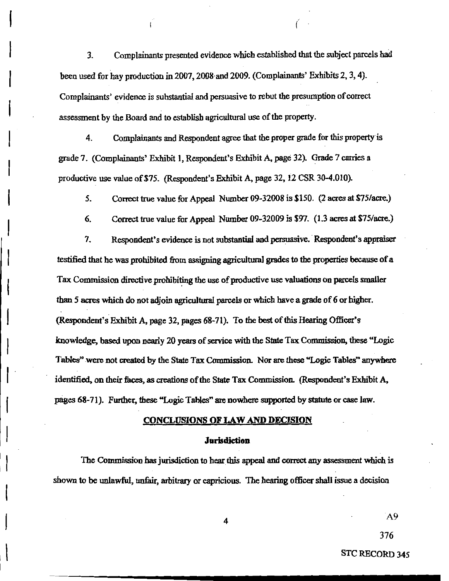$3.$ Complainants presented evidence which established that the subject parcels had been used for hay production in 2007, 2008 and 2009. (Complainants' Exhibits 2, 3, 4). Complainants' evidence is substantial and persuasive to rebut the presumption of correct assessment by the Board and to establish agricultural use of the property.

4. Complainants and Respondent agree that the proper grade for this property is grade 7. (Complainants' Exhibit 1, Respondent's Exhibit A, page 32). Grade 7 carries a productive use value of \$75. (Respondent's Exhibit A, page 32, 12 CSR 30-4.010).

 $5.$ Correct true value for Appeal Number 09-32008 is \$150. (2 acres at \$75/acre.)

6. Correct true value for Appeal Number 09-32009 is \$97. (1.3 acres at \$75/acre.)

 $7.$ Respondent's evidence is not substantial and persuasive. Respondent's appraiser testified that he was prohibited from assigning agricultural grades to the properties because of a Tax Commission directive prohibiting the use of productive use valuations on parcels smaller than 5 acres which do not adjoin agricultural parcels or which have a grade of 6 or higher. (Respondent's Exhibit A, page 32, pages 68-71). To the best of this Hearing Officer's knowledge, based upon nearly 20 years of service with the State Tax Commission, these "Logic Tables" were not created by the State Tax Commission. Nor are these "Logic Tables" anywhere identified, on their faces, as creations of the State Tax Commission. (Respondent's Exhibit A, pages 68-71). Further, these "Logic Tables" are nowhere supported by statute or case law.

#### **CONCLUSIONS OF LAW AND DECISION**

#### Jurisdiction

The Commission has jurisdiction to hear this appeal and correct any assessment which is shown to be unlawful, unfair, arbitrary or capricious. The hearing officer shall issue a decision

4

A9

376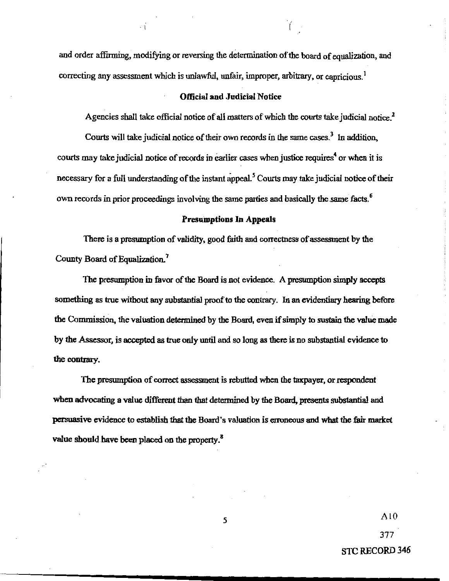and order affirming, modifying or reversing the determination of the board of equalization, and correcting any assessment which is unlawful, unfair, improper, arbitrary, or capricious.<sup>1</sup>

#### **Official and Judicial Notice**

Agencies shall take official notice of all matters of which the courts take judicial notice.<sup>2</sup>

Courts will take judicial notice of their own records in the same cases.<sup>3</sup> In addition, courts may take judicial notice of records in earlier cases when justice requires<sup>4</sup> or when it is necessary for a full understanding of the instant appeal.<sup>5</sup> Courts may take judicial notice of their own records in prior proceedings involving the same parties and basically the same facts.<sup>6</sup>

#### **Presumptions In Appeals**

There is a presumption of validity, good faith and correctness of assessment by the County Board of Equalization.<sup>7</sup>

The presumption in favor of the Board is not evidence. A presumption simply accepts something as true without any substantial proof to the contrary. In an evidentiary hearing before the Commission, the valuation determined by the Board, even if simply to sustain the value made by the Assessor, is accepted as true only until and so long as there is no substantial evidence to the contrary.

The presumption of correct assessment is rebutted when the taxpayer, or respondent when advocating a value different than that determined by the Board, presents substantial and persuasive evidence to establish that the Board's valuation is erroneous and what the fair market value should have been placed on the property.<sup>8</sup>

 $A10$ 

377

**STC RECORD 346**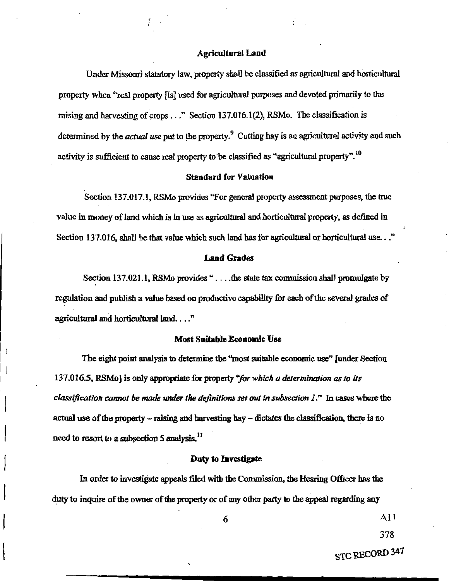#### **Agricultural Land**

Under Missouri statutory law, property shall be classified as agricultural and horticultural property when "real property [is] used for agricultural purposes and devoted primarily to the raising and harvesting of crops . . ." Section 137.016.1(2), RSMo. The classification is determined by the *actual use* put to the property.<sup>9</sup> Cutting hay is an agricultural activity and such activity is sufficient to cause real property to be classified as "agricultural property".<sup>10</sup>

#### **Standard for Valuation**

Section 137.017.1, RSMo provides "For general property assessment purposes, the true value in money of land which is in use as agricultural and horticultural property, as defined in Section 137.016, shall be that value which such land has for agricultural or horticultural use..."

#### **Land Grades**

Section 137.021.1, RSMo provides "... the state tax commission shall promulgate by regulation and publish a value based on productive capability for each of the several grades of agricultural and horticultural land...."

#### **Most Suitable Economic Use**

The eight point analysis to determine the "most suitable economic use" [under Section 137.016.5, RSMo] is only appropriate for property "for which a determination as to its classification cannot be made under the definitions set out in subsection  $I$ ." In cases where the actual use of the property  $-$  raising and harvesting hay  $-$  dictates the classification, there is no need to resort to a subsection 5 analysis.<sup>11</sup>

#### Duty to Investigate

In order to investigate appeals filed with the Commission, the Hearing Officer has the duty to inquire of the owner of the property or of any other party to the appeal regarding any

6

 $A11$ 

378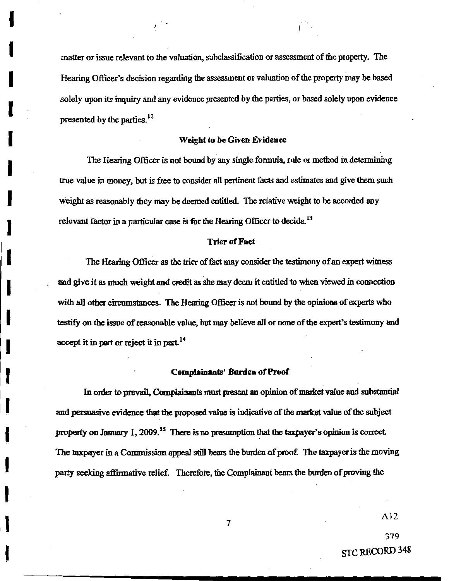matter or issue relevant to the valuation, subclassification or assessment of the property. The Hearing Officer's decision regarding the assessment or valuation of the property may be based solely upon its inquiry and any evidence presented by the parties, or based solely upon evidence presented by the parties.<sup>12</sup>

#### **Weight to be Given Evidence**

The Hearing Officer is not bound by any single formula, rule or method in determining true value in money, but is free to consider all pertinent facts and estimates and give them such weight as reasonably they may be deemed entitled. The relative weight to be accorded any relevant factor in a particular case is for the Hearing Officer to decide.<sup>13</sup>

#### **Trier of Fact**

The Hearing Officer as the trier of fact may consider the testimony of an expert witness and give it as much weight and credit as she may deem it entitled to when viewed in connection with all other circumstances. The Hearing Officer is not bound by the opinions of experts who testify on the issue of reasonable value, but may believe all or none of the expert's testimony and accept it in part or reject it in part.<sup>14</sup>

#### **Complainants' Burden of Proof**

In order to prevail, Complainants must present an opinion of market value and substantial and persuasive evidence that the proposed value is indicative of the market value of the subject property on January 1, 2009.<sup>15</sup> There is no presumption that the taxpayer's opinion is correct. The taxpayer in a Commission appeal still bears the burden of proof. The taxpayer is the moving party seeking affirmative relief. Therefore, the Complainant bears the burden of proving the

A<sub>12</sub>

379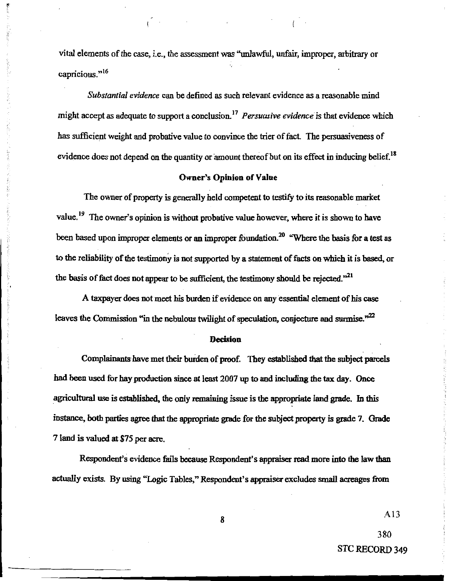vital elements of the case, i.e., the assessment was "unlawful, unfair, improper, arbitrary or capricious."<sup>16</sup>

 $\mathcal{L}^{\text{max}}_{\text{max}}$  and  $\mathcal{L}^{\text{max}}_{\text{max}}$ 

Substantial evidence can be defined as such relevant evidence as a reasonable mind might accept as adequate to support a conclusion.<sup>17</sup> Persuasive evidence is that evidence which has sufficient weight and probative value to convince the trier of fact. The persuasiveness of evidence does not depend on the quantity or amount thereof but on its effect in inducing belief.<sup>18</sup>

#### **Owner's Opinion of Value**

The owner of property is generally held competent to testify to its reasonable market value.<sup>19</sup> The owner's opinion is without probative value however, where it is shown to have been based upon improper elements or an improper foundation.<sup>20</sup> "Where the basis for a test as to the reliability of the testimony is not supported by a statement of facts on which it is based, or the basis of fact does not appear to be sufficient, the testimony should be rejected."<sup>21</sup>

A taxpayer does not meet his burden if evidence on any essential element of his case leaves the Commission "in the nebulous twilight of speculation, conjecture and surmise."<sup>22</sup>

#### **Decision**

Complainants have met their burden of proof. They established that the subject parcels had been used for hay production since at least 2007 up to and including the tax day. Once agricultural use is established, the only remaining issue is the appropriate land grade. In this instance, both parties agree that the appropriate grade for the subject property is grade 7. Grade 7 land is valued at \$75 per acre.

Respondent's evidence fails because Respondent's appraiser read more into the law than actually exists. By using "Logic Tables," Respondent's appraiser excludes small acreages from

 $A13$ 

380

STC RECORD 349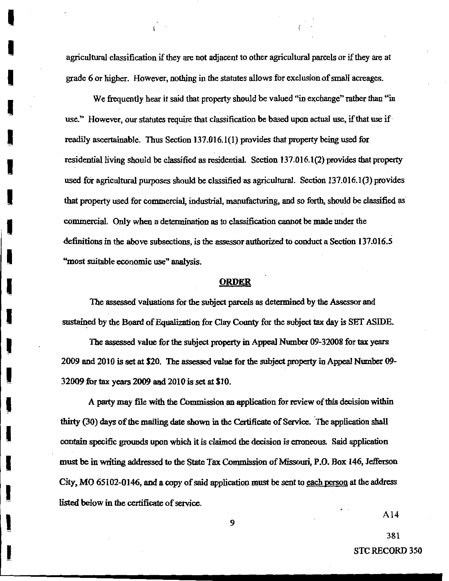agricultural classification if they are not adjacent to other agricultural parcels or if they are at grade 6 or higher. However, nothing in the statutes allows for exclusion of small acreages.

We frequently hear it said that property should be valued "in exchange" rather than "in use." However, our statutes require that classification be based upon actual use, if that use if readily ascertainable. Thus Section 137.016.1(1) provides that property being used for residential living should be classified as residential. Section 137.016.1(2) provides that property used for agricultural purposes should be classified as agricultural. Section 137.016.1(3) provides that property used for commercial, industrial, manufacturing, and so forth, should be classified as commercial. Only when a determination as to classification cannot be made under the definitions in the above subsections, is the assessor authorized to conduct a Section 137.016.5 "most suitable economic use" analysis.

#### **ORDER**

The assessed valuations for the subject parcels as determined by the Assessor and sustained by the Board of Equalization for Clay County for the subject tax day is SET ASIDE.

The assessed value for the subject property in Appeal Number 09-32008 for tax years 2009 and 2010 is set at \$20. The assessed value for the subject property in Appeal Number 09-32009 for tax years 2009 and 2010 is set at \$10.

A party may file with the Commission an application for review of this decision within thirty (30) days of the mailing date shown in the Certificate of Service. The application shall contain specific grounds upon which it is claimed the decision is erroneous. Said application must be in writing addressed to the State Tax Commission of Missouri, P.O. Box 146, Jefferson City, MO 65102-0146, and a copy of said application must be sent to each person at the address listed below in the certificate of service.

 $A14$ 

381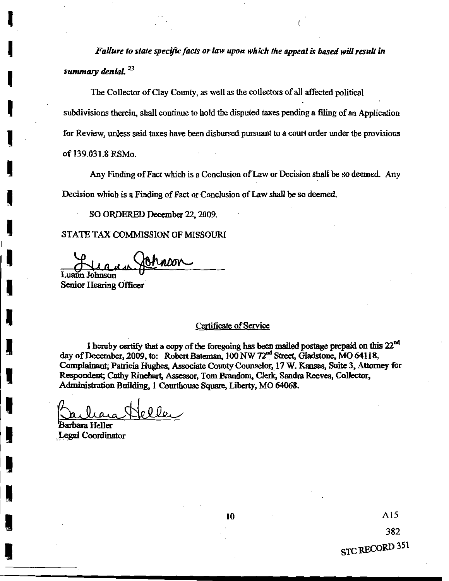Failure to state specific facts or law upon which the appeal is based will result in summary denial.<sup>23</sup>

The Collector of Clay County, as well as the collectors of all affected political subdivisions therein, shall continue to hold the disputed taxes pending a filing of an Application for Review, unless said taxes have been disbursed pursuant to a court order under the provisions of 139.031.8 RSMo.

Any Finding of Fact which is a Conclusion of Law or Decision shall be so deemed. Any Decision which is a Finding of Fact or Conclusion of Law shall be so deemed.

SO ORDERED December 22, 2009.

STATE TAX COMMISSION OF MISSOURI

ADOV Luann Johnson

Senior Hearing Officer

#### Certificate of Service

I hereby certify that a copy of the foregoing has been mailed postage prepaid on this 22<sup>nd</sup> day of December, 2009, to: Robert Bateman, 100 NW 72<sup>nd</sup> Street, Gladstone, MO 64118, Complainant; Patricia Hughes, Associate County Counselor, 17 W. Kansas, Suite 3, Attorney for Respondent; Cathy Rinehart, Assessor, Tom Brandom, Clerk, Sandra Reeves, Collector, Administration Building, 1 Courthouse Square, Liberty, MO 64068.

oller

Barbara Heller **Legal Coordinator**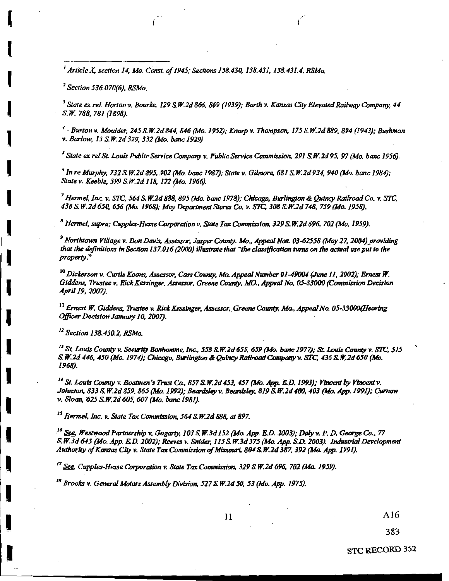<sup>1</sup> Article X, section 14, Mo. Const. of 1945; Sections 138.430, 138.431, 138.431.4, RSMo.

<sup>2</sup> Section 536.070(6), RSMo.

<sup>3</sup> State ex rel. Horton v. Bourke, 129 S.W.2d 866, 869 (1939); Barth v. Kansas City Elevated Railway Company, 44 S.W. 788, 781 (1898).

<sup>4</sup> - Burton v. Moulder, 245 S.W.2d 844, 846 (Mo. 1952); Knorp v. Thompson, 175 S.W.2d 889, 894 (1943); Bushman v. Barlow, 15 S.W.2d 329, 332 (Mo. banc 1929)

<sup>5</sup> State ex rel St. Louis Public Service Company v. Public Service Commission, 291 S.W.2d 95, 97 (Mo. banc 1956).

<sup>6</sup> In re Murphy, 732 S.W.2d 895, 902 (Mo. banc 1987); State v. Gilmore, 681 S.W.2d 934, 940 (Mo. banc 1984); State v. Keeble, 399 S.W.2d 118, 122 (Mo. 1966).

 $^7$  Hermel, Inc. v. STC, 564 S.W.2d 888, 895 (Mo. banc 1978); Chicago, Burlington & Quincy Railroad Co. v. STC, 436 S.W.2d 650, 656 (Mo. 1968); May Department Stores Co. v. STC, 308 S.W.2d 748, 759 (Mo. 1958).

<sup>8</sup> Hermel, supra; Cupples-Hesse Corporation v. State Tax Commission, 329 S.W.2d 696, 702 (Mo. 1959).

<sup>9</sup> Northtown Village v. Don Davis, Assessor, Jasper County. Mo., Appeal Nos. 03-62558 (May 27, 2004) providing that the definitions in Section 137.016 (2000) illustrate that "the classification turns on the actual use put to the property."

<sup>10</sup> Dickerson v. Curtis Koons, Assessor, Cass County, Mo. Appeal Number 01-49004 (June 11, 2002); Ernest W. Giddens, Trustee v. Rick Kessinger, Assessor, Greene County, MO., Appeal No. 05-33000 (Commission Decision April 19, 2007).

<sup>11</sup> Ernest W. Giddens, Trustee v. Rick Kessinger, Assessor, Greene County, Mo., Appeal No. 05-33000(Hearing Officer Decision January 10, 2007).

<sup>12</sup> Section 138.430.2, RSMo.

<sup>13</sup> St. Louis County v. Security Bonhomme, Inc., 558 S.W.2d 655, 659 (Mo. banc 1977); St. Louis County v. STC, 515 S. W.2d 446, 450 (Mo. 1974); Chicago, Burlington & Quincy Railroad Company v. STC, 436 S. W.2d 650 (Mo. 1968).

<sup>14</sup> St. Louis County v. Boatmen's Trust Co., 857 S.W.2d 453, 457 (Mo. App. E.D. 1993); Vincent by Vincent v. Johnson, 833 S.W.2d 859, 865 (Mo. 1992); Beardsley v. Beardsley, 819 S.W.2d 400, 403 (Mo. App. 1991); Curnow v. Sloan, 625 S.W.2d 605, 607 (Mo. banc 1981).

<sup>15</sup> Hermel, Inc. v. State Tax Commission, 564 S.W.2d 888, at 897.

<sup>16</sup> See, Westwood Partnership v. Gogarty, 103 S.W.3d 152 (Mo. App. E.D. 2003); Daly v. P. D. George Co., 77 S.W.3d 645 (Mo. App. E.D. 2002); Reeves v. Snider, 115 S.W.3d 375 (Mo. App. S.D. 2003). Industrial Development Authority of Kansas City v. State Tax Commission of Missouri, 804 S.W.2d 387, 392 (Mo. App. 1991).

 $^{17}$  See, Cupples-Hesse Corporation v. State Tax Commission, 329 S.W.2d 696, 702 (Mo. 1959).

<sup>18</sup> Brooks v. General Motors Assembly Division, 527 S.W.2d 50, 53 (Mo. App. 1975).

A16 383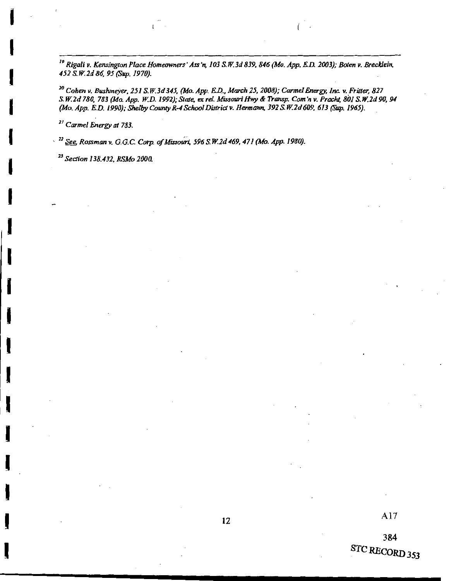<sup>19</sup> Rigali v. Kensington Place Homeowners' Ass'n, 103 S.W.3d 839, 846 (Mo. App. E.D. 2003); Boten v. Brecklein, 452 S.W.2d 86, 95 (Sup. 1970).

<sup>20</sup> Cohen v. Bushmeyer, 251 S.W.3d 345, (Mo. App. E.D., March 25, 2008); Carmel Energy, Inc. v. Fritter, 827 S.W.2d 780, 783 (Mo. App. W.D. 1992); State, ex rel. Missouri Hwy & Transp. Com'n v. Pracht, 801 S.W.2d 90, 94<br>(Mo. App. E.D. 1990); Shelby County R-4 School District v. Hermann, 392 S.W.2d 609, 613 (Sup. 1965).

<sup>21</sup> Carmel Energy at 783.

<sup>22</sup> See, Rossman v. G.G.C. Corp. of Missouri, 596 S.W.2d 469, 471 (Mo. App. 1980).

<sup>23</sup> Section 138.432, RSMo 2000.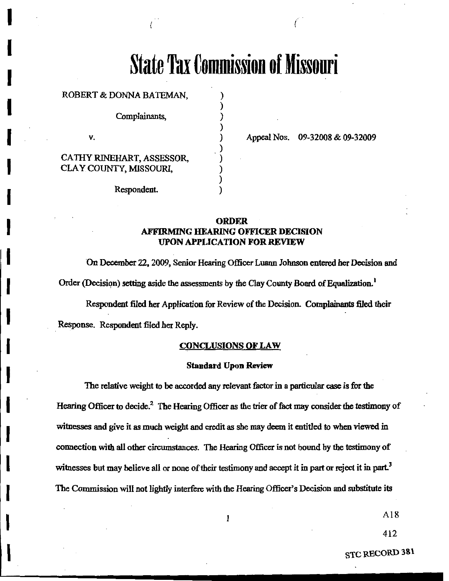# **State Tax Commission of Missouri**

ROBERT & DONNA BATEMAN.

Complainants,

V.

CATHY RINEHART, ASSESSOR, CLAY COUNTY, MISSOURI,

Respondent.

Appeal Nos. 09-32008 & 09-32009

#### **ORDER AFFIRMING HEARING OFFICER DECISION UPON APPLICATION FOR REVIEW**

 $\lambda$ 

On December 22, 2009, Senior Hearing Officer Luann Johnson entered her Decision and Order (Decision) setting aside the assessments by the Clay County Board of Equalization.<sup>1</sup>

Respondent filed her Application for Review of the Decision. Complainants filed their

Response. Respondent filed her Reply.

#### **CONCLUSIONS OF LAW**

#### **Standard Upon Review**

The relative weight to be accorded any relevant factor in a particular case is for the Hearing Officer to decide.<sup>2</sup> The Hearing Officer as the trier of fact may consider the testimony of witnesses and give it as much weight and credit as she may deem it entitled to when viewed in connection with all other circumstances. The Hearing Officer is not bound by the testimony of witnesses but may believe all or none of their testimony and accept it in part or reject it in part.<sup>3</sup> The Commission will not lightly interfere with the Hearing Officer's Decision and substitute its

 $\mathbf{1}$ 

 $A18$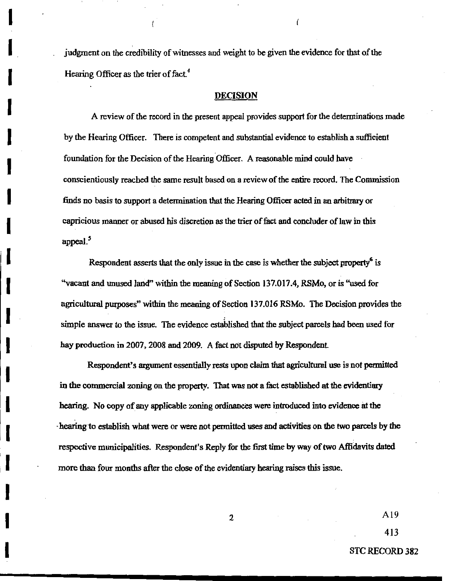judgment on the credibility of witnesses and weight to be given the evidence for that of the Hearing Officer as the trier of fact.<sup>4</sup>

#### **DECISION**

A review of the record in the present appeal provides support for the determinations made by the Hearing Officer. There is competent and substantial evidence to establish a sufficient foundation for the Decision of the Hearing Officer. A reasonable mind could have conscientiously reached the same result based on a review of the entire record. The Commission finds no basis to support a determination that the Hearing Officer acted in an arbitrary or capricious manner or abused his discretion as the trier of fact and concluder of law in this appeal.<sup>5</sup>

Respondent asserts that the only issue in the case is whether the subject property<sup>o</sup> is "vacant and unused land" within the meaning of Section 137.017.4, RSMo, or is "used for agricultural purposes" within the meaning of Section 137.016 RSMo. The Decision provides the simple answer to the issue. The evidence established that the subject parcels had been used for hay production in 2007, 2008 and 2009. A fact not disputed by Respondent.

Respondent's argument essentially rests upon claim that agricultural use is not permitted in the commercial zoning on the property. That was not a fact established at the evidentiary hearing. No copy of any applicable zoning ordinances were introduced into evidence at the hearing to establish what were or were not permitted uses and activities on the two parcels by the respective municipalities. Respondent's Reply for the first time by way of two Affidavits dated more than four months after the close of the evidentiary hearing raises this issue.

 $\overline{2}$ 

 $A19$ 

413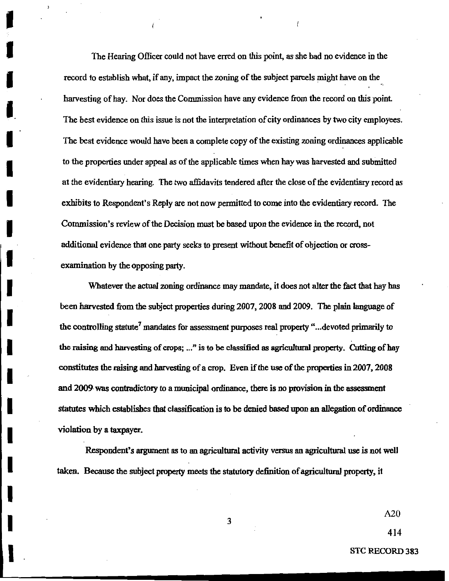The Hearing Officer could not have erred on this point, as she had no evidence in the record to establish what, if any, impact the zoning of the subject parcels might have on the harvesting of hay. Nor does the Commission have any evidence from the record on this point. The best evidence on this issue is not the interpretation of city ordinances by two city employees. The best evidence would have been a complete copy of the existing zoning ordinances applicable to the properties under appeal as of the applicable times when hay was harvested and submitted at the evidentiary hearing. The two affidavits tendered after the close of the evidentiary record as exhibits to Respondent's Reply are not now permitted to come into the evidentiary record. The Commission's review of the Decision must be based upon the evidence in the record, not additional evidence that one party seeks to present without benefit of objection or crossexamination by the opposing party.

Whatever the actual zoning ordinance may mandate, it does not alter the fact that hay has been harvested from the subject properties during 2007, 2008 and 2009. The plain language of the controlling statute<sup>7</sup> mandates for assessment purposes real property "...devoted primarily to the raising and harvesting of crops; ..." is to be classified as agricultural property. Cutting of hay constitutes the raising and harvesting of a crop. Even if the use of the properties in 2007, 2008 and 2009 was contradictory to a municipal ordinance, there is no provision in the assessment statutes which establishes that classification is to be denied based upon an allegation of ordinance violation by a taxpayer.

Respondent's argument as to an agricultural activity versus an agricultural use is not well taken. Because the subject property meets the statutory definition of agricultural property, it

 $A20$ 

414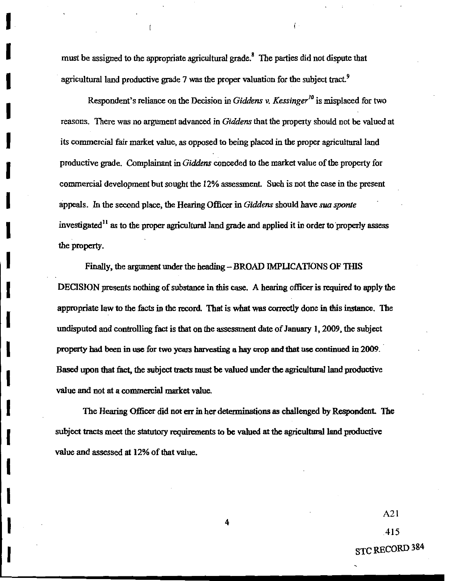must be assigned to the appropriate agricultural grade.<sup>8</sup> The parties did not dispute that agricultural land productive grade 7 was the proper valuation for the subject tract.<sup>9</sup>

Ĺ

Respondent's reliance on the Decision in Giddens v. Kessinger<sup>10</sup> is misplaced for two reasons. There was no argument advanced in Giddens that the property should not be valued at its commercial fair market value, as opposed to being placed in the proper agricultural land productive grade. Complainant in Giddens conceded to the market value of the property for commercial development but sought the 12% assessment. Such is not the case in the present appeals. In the second place, the Hearing Officer in Giddens should have sua sponte investigated<sup>11</sup> as to the proper agricultural land grade and applied it in order to properly assess the property.

Finally, the argument under the heading - BROAD IMPLICATIONS OF THIS DECISION presents nothing of substance in this case. A hearing officer is required to apply the appropriate law to the facts in the record. That is what was correctly done in this instance. The undisputed and controlling fact is that on the assessment date of January 1, 2009, the subject property had been in use for two years harvesting a hay crop and that use continued in 2009. Based upon that fact, the subject tracts must be valued under the agricultural land productive value and not at a commercial market value.

The Hearing Officer did not err in her determinations as challenged by Respondent. The subject tracts meet the statutory requirements to be valued at the agricultural land productive value and assessed at 12% of that value.

 $A21$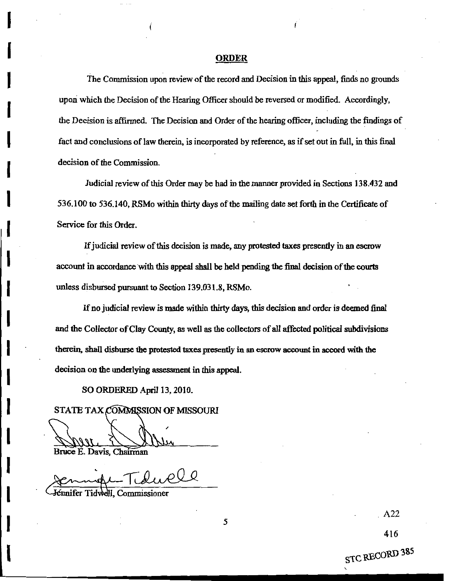#### **ORDER**

The Commission upon review of the record and Decision in this appeal, finds no grounds upon which the Decision of the Hearing Officer should be reversed or modified. Accordingly, the Decision is affirmed. The Decision and Order of the hearing officer, including the findings of fact and conclusions of law therein, is incorporated by reference, as if set out in full, in this final decision of the Commission.

Judicial review of this Order may be had in the manner provided in Sections 138.432 and 536.100 to 536.140, RSMo within thirty days of the mailing date set forth in the Certificate of Service for this Order.

If judicial review of this decision is made, any protested taxes presently in an escrow account in accordance with this appeal shall be held pending the final decision of the courts unless disbursed pursuant to Section 139,031.8, RSMo.

If no judicial review is made within thirty days, this decision and order is deemed final and the Collector of Clay County, as well as the collectors of all affected political subdivisions therein, shall disburse the protested taxes presently in an escrow account in accord with the decision on the underlying assessment in this appeal.

5

SO ORDERED April 13, 2010.

STATE TAX COMMISSION OF MISSOURI

Bruce E. Davis, Chairman

Jénnifer Tidwell. Commissioner

 $A22$ 

416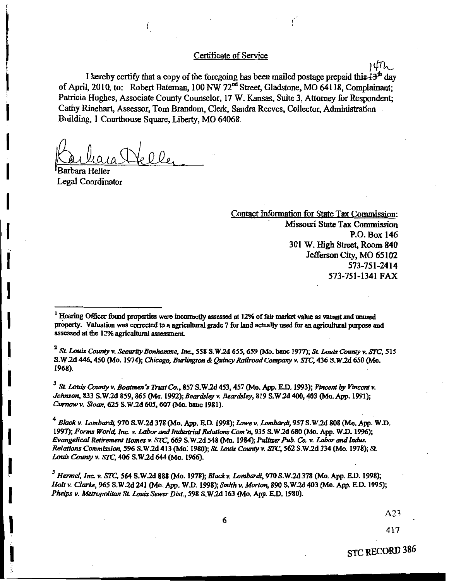#### Certificate of Service

I hereby certify that a copy of the foregoing has been mailed postage prepaid this  $43<sup>th</sup>$  day of April, 2010, to: Robert Bateman, 100 NW 72<sup>nd</sup> Street, Gladstone, MO 64118, Complainant; Patricia Hughes, Associate County Counselor, 17 W. Kansas, Suite 3, Attorney for Respondent; Cathy Rinehart, Assessor, Tom Brandom, Clerk, Sandra Reeves, Collector, Administration Building, 1 Courthouse Square, Liberty, MO 64068.

 $\sim 0.0$ 

Legal Coordinator

Contact Information for State Tax Commission: Missouri State Tax Commission P.O. Box 146 301 W. High Street, Room 840 Jefferson City, MO 65102 573-751-2414 573-751-1341 FAX

ነ⊄ጤ

<sup>1</sup> Hearing Officer found properties were incorrectly assessed at 12% of fair market value as vacant and unused property. Valuation was corrected to a agricultural grade 7 for land actually used for an agricultural purpose and assessed at the 12% agricultural assessment.

 $2$  St. Louis County v. Security Bonhomme, Inc., 558 S.W.2d 655, 659 (Mo. banc 1977); St. Louis County v. STC, 515 S.W.2d 446, 450 (Mo. 1974); Chicago, Burlington & Quincy Railroad Company v. STC, 436 S.W.2d 650 (Mo. 1968).

 $3$  St. Louis County v. Boatmen's Trust Co., 857 S.W.2d 453, 457 (Mo. App. E.D. 1993); Vincent by Vincent v. Johnson, 833 S.W.2d 859, 865 (Mo. 1992); Beardsley v. Beardsley, 819 S.W.2d 400, 403 (Mo. App. 1991); Curnow v. Sloan, 625 S.W.2d 605, 607 (Mo. banc 1981).

<sup>4</sup> Black v. Lombardi, 970 S.W.2d 378 (Mo. App. E.D. 1998); Lowe v. Lombardi, 957 S.W.2d 808 (Mo. App. W.D. 1997); Forms World, Inc. v. Labor and Industrial Relations Com'n, 935 S.W.2d 680 (Mo. App. W.D. 1996); Evangelical Retirement Homes v. STC, 669 S.W.2d 548 (Mo. 1984); Pulitzer Pub. Co. v. Labor and Indus. Relations Commission, 596 S.W.2d 413 (Mo. 1980); St. Louis County v. STC, 562 S.W.2d 334 (Mo. 1978); St. Louis County v. STC, 406 S.W.2d 644 (Mo. 1966).

<sup>5</sup> Hermel, Inc. v. STC, 564 S.W.2d 888 (Mo. 1978); Black v. Lombardi, 970 S.W.2d 378 (Mo. App. E.D. 1998); Holt v. Clarke, 965 S.W.2d 241 (Mo. App. W.D. 1998); Smith v. Morton, 890 S.W.2d 403 (Mo. App. E.D. 1995); Phelps v. Metropolitan St. Louis Sewer Dist., 598 S.W.2d 163 (Mo. App. E.D. 1980).

 $A23$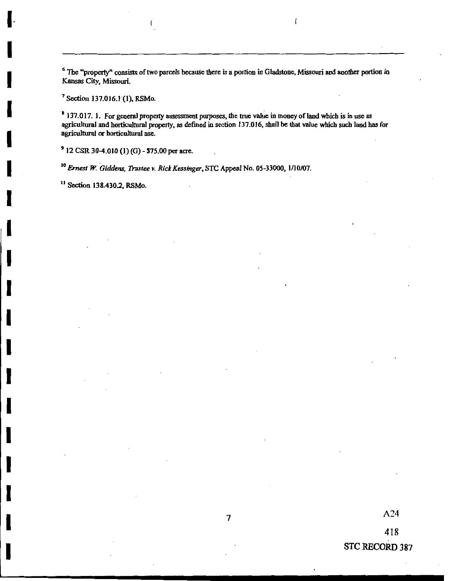<sup>6</sup> The "property" consists of two parcels because there is a portion in Gladstone, Missouri and another portion in Kansas City, Missouri.

 $\mathcal{L}_{\mathcal{L}}$ 

<sup>7</sup> Section 137.016.1 (1), RSMo.

<sup>8</sup> 137.017. 1. For general property assessment purposes, the true value in money of land which is in use as agricultural and horticultural property, as defined in section 137.016, shall be that value which such land has for agricultural or horticultural use.

<sup>9</sup> 12 CSR 30-4.010 (1) (G) - \$75.00 per acre.

<sup>10</sup> Ernest W. Giddens, Trustee v. Rick Kessinger, STC Appeal No. 05-33000, 1/10/07.

<sup>11</sup> Section 138.430.2, RSMo.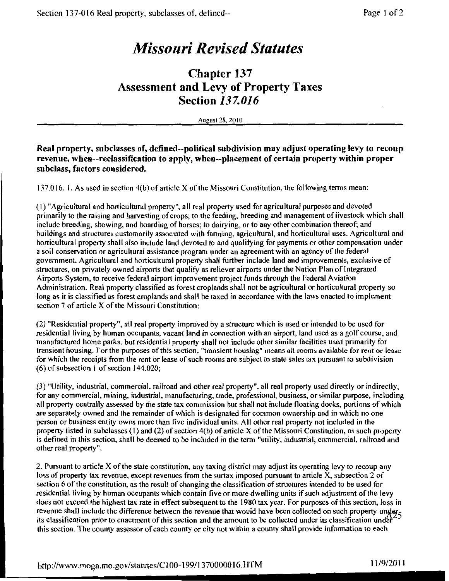# **Missouri Revised Statutes**

### **Chapter 137 Assessment and Levy of Property Taxes Section 137.016**

**August 28, 2010** 

#### Real property, subclasses of, defined--political subdivision may adjust operating levy to recoup revenue, when--reclassification to apply, when--placement of certain property within proper subclass, factors considered.

137.016. 1. As used in section 4(b) of article X of the Missouri Constitution, the following terms mean:

(1) "Agricultural and horticultural property", all real property used for agricultural purposes and devoted primarily to the raising and harvesting of crops; to the feeding, breeding and management of livestock which shall include breeding, showing, and boarding of horses; to dairying, or to any other combination thereof; and buildings and structures customarily associated with farming, agricultural, and horticultural uses. Agricultural and horticultural property shall also include land devoted to and qualifying for payments or other compensation under a soil conservation or agricultural assistance program under an agreement with an agency of the federal government. Agricultural and horticultural property shall further include land and improvements, exclusive of structures, on privately owned airports that qualify as reliever airports under the Nation Plan of Integrated Airports System, to receive federal airport improvement project funds through the Federal Aviation Administration. Real property classified as forest croplands shall not be agricultural or horticultural property so long as it is classified as forest croplands and shall be taxed in accordance with the laws enacted to implement section 7 of article X of the Missouri Constitution:

(2) "Residential property", all real property improved by a structure which is used or intended to be used for residential living by human occupants, vacant land in connection with an airport, land used as a golf course, and manufactured home parks, but residential property shall not include other similar facilities used primarily for transient housing. For the purposes of this section, "transient housing" means all rooms available for rent or lease for which the receipts from the rent or lease of such rooms are subject to state sales tax pursuant to subdivision  $(6)$  of subsection 1 of section 144.020;

(3) "Utility, industrial, commercial, railroad and other real property", all real property used directly or indirectly, for any commercial, mining, industrial, manufacturing, trade, professional, business, or similar purpose, including all property centrally assessed by the state tax commission but shall not include floating docks, portions of which are separately owned and the remainder of which is designated for common ownership and in which no one person or business entity owns more than five individual units. All other real property not included in the property listed in subclasses  $(1)$  and  $(2)$  of section  $4(b)$  of article X of the Missouri Constitution, as such property is defined in this section, shall be deemed to be included in the term "utility, industrial, commercial, railroad and other real property".

2. Pursuant to article X of the state constitution, any taxing district may adjust its operating levy to recoup any loss of property tax revenue, except revenues from the surtax imposed pursuant to article X, subsection 2 of section 6 of the constitution, as the result of changing the classification of structures intended to be used for residential living by human occupants which contain five or more dwelling units if such adjustment of the levy does not exceed the highest tax rate in effect subsequent to the 1980 tax year. For purposes of this section, loss in revenue shall include the difference between the revenue that would have been collected on such property under its classification prior to enactment of this section and the amount to be collected under its classification under this section. The county assessor of each county or city not within a county shall provide information to each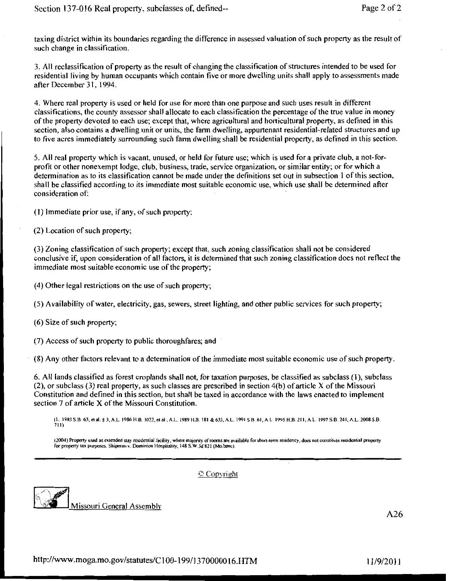taxing district within its boundaries regarding the difference in assessed valuation of such property as the result of such change in classification.

3. All reclassification of property as the result of changing the classification of structures intended to be used for residential living by human occupants which contain five or more dwelling units shall apply to assessments made after December 31, 1994.

4. Where real property is used or held for use for more than one purpose and such uses result in different classifications, the county assessor shall allocate to each classification the percentage of the true value in money of the property devoted to each use; except that, where agricultural and horticultural property, as defined in this section, also contains a dwelling unit or units, the farm dwelling, appurtenant residential-related structures and up to five acres immediately surrounding such farm dwelling shall be residential property, as defined in this section.

5. All real property which is vacant, unused, or held for future use; which is used for a private club, a not-forprofit or other nonexempt lodge, club, business, trade, service organization, or similar entity; or for which a determination as to its classification cannot be made under the definitions set out in subsection 1 of this section, shall be classified according to its immediate most suitable economic use, which use shall be determined after consideration of:

(1) Immediate prior use, if any, of such property;

(2) Location of such property;

(3) Zoning classification of such property; except that, such zoning classification shall not be considered conclusive if, upon consideration of all factors, it is determined that such zoning classification does not reflect the immediate most suitable economic use of the property;

(4) Other legal restrictions on the use of such property;

(5) Availability of water, electricity, gas, sewers, street lighting, and other public services for such property;

(6) Size of such property;

(7) Access of such property to public thoroughfares; and

(8) Any other factors relevant to a determination of the immediate most suitable economic use of such property.

6. All lands classified as forest croplands shall not, for taxation purposes, be classified as subclass (1), subclass (2), or subclass (3) real property, as such classes are prescribed in section 4(b) of article X of the Missouri Constitution and defined in this section, but shall be taxed in accordance with the laws enacted to implement section 7 of article X of the Missouri Constitution.

(L. 1983 S.B. 63, et al. § 3, A.L. 1986 H.B. 1022, et al., A.L. 1989 H.B. 181 & 633, A.L. 1991 S.B. 61, A.L. 1995 H.B. 211, A.L. 1997 S.B. 241, A.L. 2008 S.B.<br>711)

(2004) Property used as extended stay residential facility, where majority of rooms are available for short-term residency, does not constitute residential property for property tax purposes. Shipman v. Dominion Hospitality, 148 S.W.3d 821 (Mo.banc).



C Copyright

Missouri General Assembly

 $A26$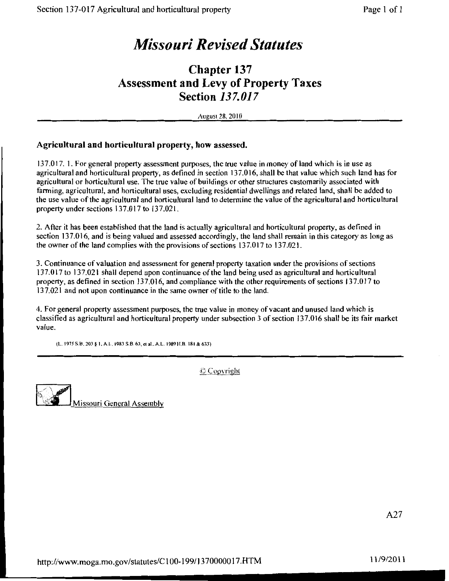# **Missouri Revised Statutes**

## **Chapter 137 Assessment and Levy of Property Taxes Section 137.017**

August 28, 2010

#### Agricultural and horticultural property, how assessed.

137.017. 1. For general property assessment purposes, the true value in money of land which is in use as agricultural and horticultural property, as defined in section 137.016, shall be that value which such land has for agricultural or horticultural use. The true value of buildings or other structures customarily associated with farming, agricultural, and horticultural uses, excluding residential dwellings and related land, shall be added to the use value of the agricultural and horticultural land to determine the value of the agricultural and horticultural property under sections 137.017 to 137.021.

2. After it has been established that the land is actually agricultural and horticultural property, as defined in section 137.016, and is being valued and assessed accordingly, the land shall remain in this category as long as the owner of the land complies with the provisions of sections 137.017 to 137.021.

3. Continuance of valuation and assessment for general property taxation under the provisions of sections 137.017 to 137.021 shall depend upon continuance of the land being used as agricultural and horticultural property, as defined in section 137.016, and compliance with the other requirements of sections 137.017 to 137.021 and not upon continuance in the same owner of title to the land.

4. For general property assessment purposes, the true value in money of vacant and unused land which is classified as agricultural and horticultural property under subsection 3 of section 137,016 shall be its fair market value.

(L. 1975 S.B. 203 § 1, A.L. 1983 S.B. 63, et al., A.L. 1989 H.B. 181 & 633)

© Copyright

Missouri General Assembly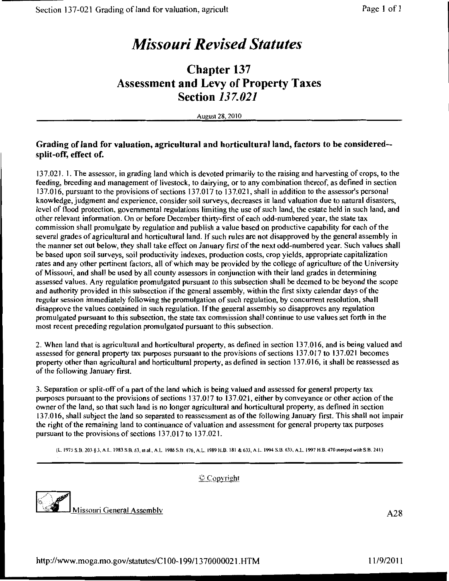# **Missouri Revised Statutes**

## **Chapter 137 Assessment and Levy of Property Taxes Section 137.021**

August 28, 2010

#### Grading of land for valuation, agricultural and horticultural land, factors to be considered-split-off, effect of.

137.021. 1. The assessor, in grading land which is devoted primarily to the raising and harvesting of crops, to the feeding, breeding and management of livestock, to dairying, or to any combination thereof, as defined in section 137.016, pursuant to the provisions of sections 137.017 to 137.021, shall in addition to the assessor's personal knowledge, judgment and experience, consider soil surveys, decreases in land valuation due to natural disasters, level of flood protection, governmental regulations limiting the use of such land, the estate held in such land, and other relevant information. On or before December thirty-first of each odd-numbered year, the state tax commission shall promulgate by regulation and publish a value based on productive capability for each of the several grades of agricultural and horticultural land. If such rules are not disapproved by the general assembly in the manner set out below, they shall take effect on January first of the next odd-numbered year. Such values shall be based upon soil surveys, soil productivity indexes, production costs, crop yields, appropriate capitalization rates and any other pertinent factors, all of which may be provided by the college of agriculture of the University of Missouri, and shall be used by all county assessors in conjunction with their land grades in determining assessed values. Any regulation promulgated pursuant to this subsection shall be deemed to be beyond the scope and authority provided in this subsection if the general assembly, within the first sixty calendar days of the regular session immediately following the promulgation of such regulation, by concurrent resolution, shall disapprove the values contained in such regulation. If the general assembly so disapproves any regulation promulgated pursuant to this subsection, the state tax commission shall continue to use values set forth in the most recent preceding regulation promulgated pursuant to this subsection.

2. When land that is agricultural and horticultural property, as defined in section 137.016, and is being valued and assessed for general property tax purposes pursuant to the provisions of sections 137.017 to 137.021 becomes property other than agricultural and horticultural property, as defined in section 137.016, it shall be reassessed as of the following January first.

3. Separation or split-off of a part of the land which is being valued and assessed for general property tax purposes pursuant to the provisions of sections 137.017 to 137.021, either by conveyance or other action of the owner of the land, so that such land is no longer agricultural and horticultural property, as defined in section 137.016, shall subject the land so separated to reassessment as of the following January first. This shall not impair the right of the remaining land to continuance of valuation and assessment for general property tax purposes pursuant to the provisions of sections 137.017 to 137.021.

(L. 1975 S.B. 203 § 3, A.L. 1983 S.B. 63, et al., A.L. 1986 S.B. 476, A.L. 1989 H.B. 181 & 633, A.L. 1994 S.B. 633, A.L. 1997 H.B. 470 merged with S.B. 241)



C Copyright

Missouri General Assembly